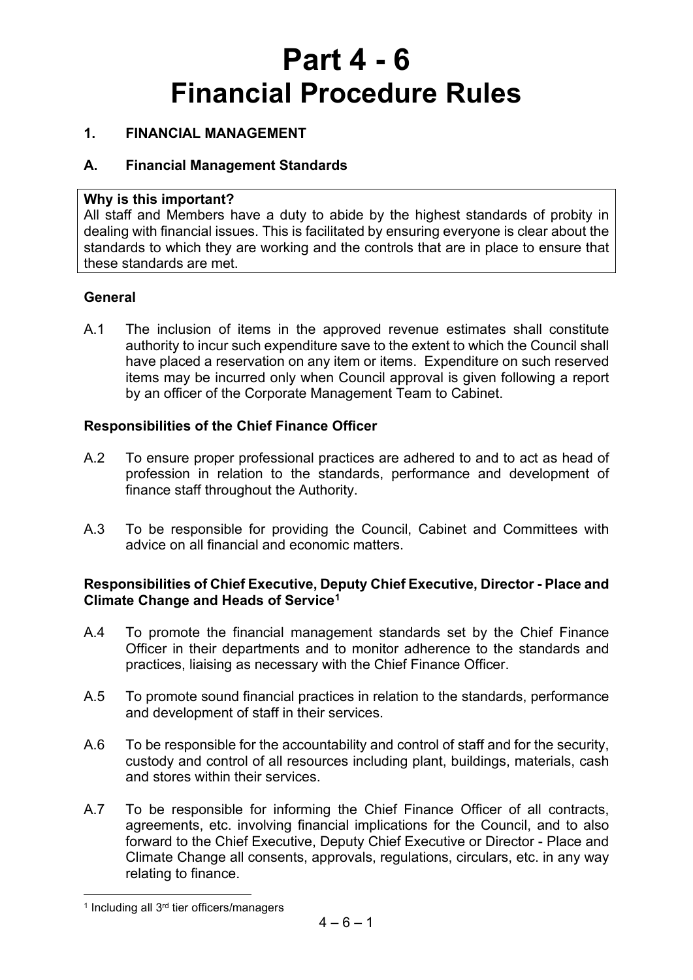# **Part 4 - 6 Financial Procedure Rules**

#### **1. FINANCIAL MANAGEMENT**

#### **A. Financial Management Standards**

#### **Why is this important?**

All staff and Members have a duty to abide by the highest standards of probity in dealing with financial issues. This is facilitated by ensuring everyone is clear about the standards to which they are working and the controls that are in place to ensure that these standards are met.

#### **General**

A.1 The inclusion of items in the approved revenue estimates shall constitute authority to incur such expenditure save to the extent to which the Council shall have placed a reservation on any item or items. Expenditure on such reserved items may be incurred only when Council approval is given following a report by an officer of the Corporate Management Team to Cabinet.

#### **Responsibilities of the Chief Finance Officer**

- A.2 To ensure proper professional practices are adhered to and to act as head of profession in relation to the standards, performance and development of finance staff throughout the Authority.
- A.3 To be responsible for providing the Council, Cabinet and Committees with advice on all financial and economic matters.

- A.4 To promote the financial management standards set by the Chief Finance Officer in their departments and to monitor adherence to the standards and practices, liaising as necessary with the Chief Finance Officer.
- A.5 To promote sound financial practices in relation to the standards, performance and development of staff in their services.
- A.6 To be responsible for the accountability and control of staff and for the security, custody and control of all resources including plant, buildings, materials, cash and stores within their services.
- A.7 To be responsible for informing the Chief Finance Officer of all contracts, agreements, etc. involving financial implications for the Council, and to also forward to the Chief Executive, Deputy Chief Executive or Director - Place and Climate Change all consents, approvals, regulations, circulars, etc. in any way relating to finance.

<span id="page-0-0"></span><sup>&</sup>lt;sup>1</sup> Including all 3<sup>rd</sup> tier officers/managers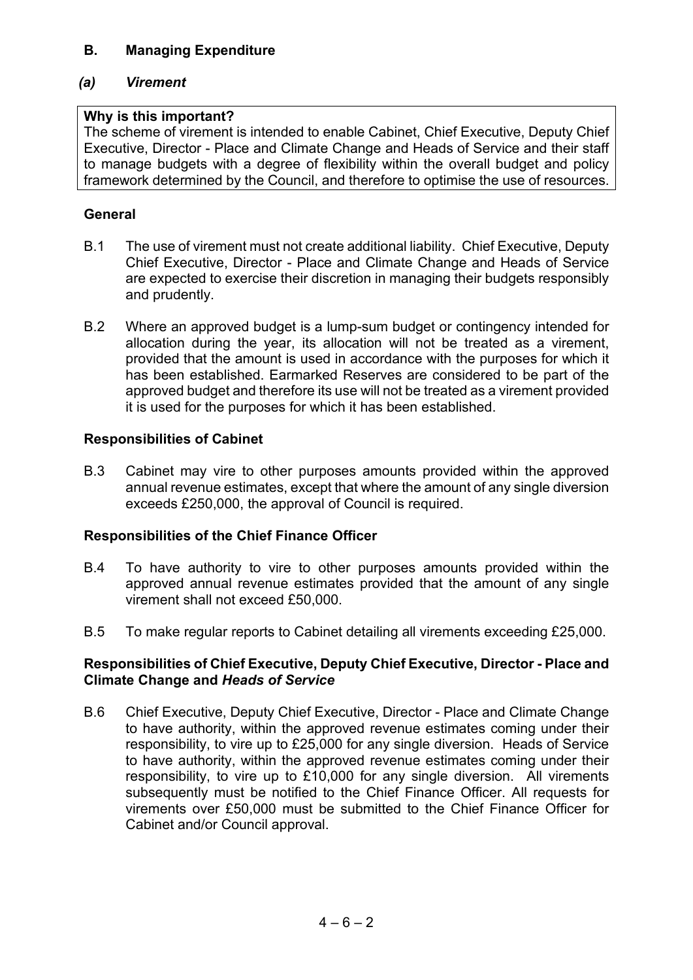#### **B. Managing Expenditure**

#### *(a) Virement*

#### **Why is this important?**

The scheme of virement is intended to enable Cabinet, Chief Executive, Deputy Chief Executive, Director - Place and Climate Change and Heads of Service and their staff to manage budgets with a degree of flexibility within the overall budget and policy framework determined by the Council, and therefore to optimise the use of resources.

#### **General**

- B.1 The use of virement must not create additional liability. Chief Executive, Deputy Chief Executive, Director - Place and Climate Change and Heads of Service are expected to exercise their discretion in managing their budgets responsibly and prudently.
- B.2 Where an approved budget is a lump-sum budget or contingency intended for allocation during the year, its allocation will not be treated as a virement, provided that the amount is used in accordance with the purposes for which it has been established. Earmarked Reserves are considered to be part of the approved budget and therefore its use will not be treated as a virement provided it is used for the purposes for which it has been established.

#### **Responsibilities of Cabinet**

B.3 Cabinet may vire to other purposes amounts provided within the approved annual revenue estimates, except that where the amount of any single diversion exceeds £250,000, the approval of Council is required.

#### **Responsibilities of the Chief Finance Officer**

- B.4 To have authority to vire to other purposes amounts provided within the approved annual revenue estimates provided that the amount of any single virement shall not exceed £50,000.
- B.5 To make regular reports to Cabinet detailing all virements exceeding £25,000.

#### **Responsibilities of Chief Executive, Deputy Chief Executive, Director - Place and Climate Change and** *Heads of Service*

B.6 Chief Executive, Deputy Chief Executive, Director - Place and Climate Change to have authority, within the approved revenue estimates coming under their responsibility, to vire up to £25,000 for any single diversion. Heads of Service to have authority, within the approved revenue estimates coming under their responsibility, to vire up to £10,000 for any single diversion. All virements subsequently must be notified to the Chief Finance Officer. All requests for virements over £50,000 must be submitted to the Chief Finance Officer for Cabinet and/or Council approval.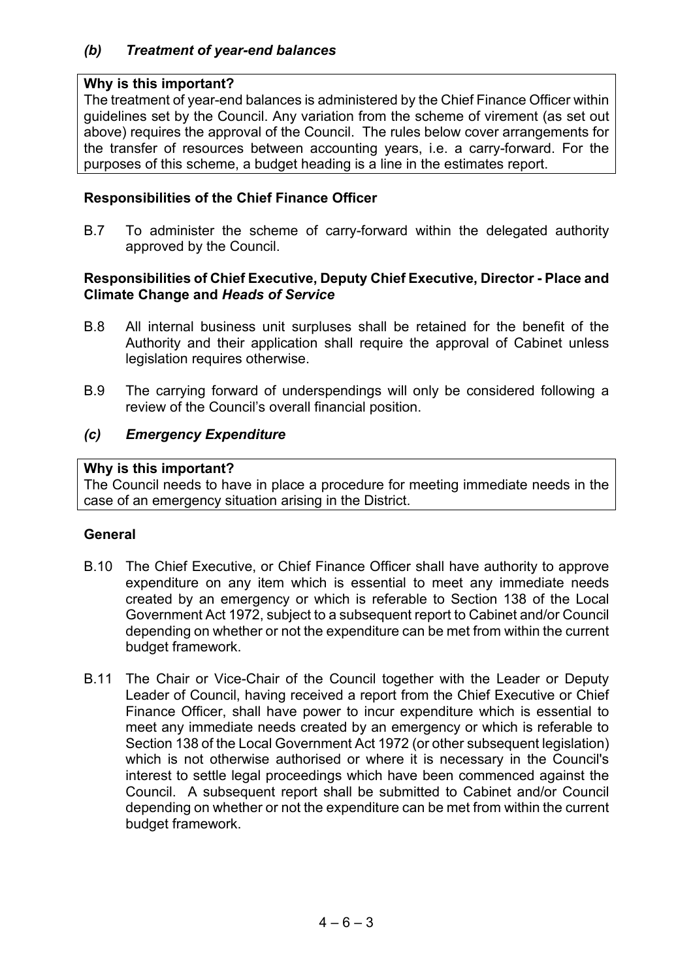#### *(b) Treatment of year-end balances*

#### **Why is this important?**

The treatment of year-end balances is administered by the Chief Finance Officer within guidelines set by the Council. Any variation from the scheme of virement (as set out above) requires the approval of the Council. The rules below cover arrangements for the transfer of resources between accounting years, i.e. a carry-forward. For the purposes of this scheme, a budget heading is a line in the estimates report.

#### **Responsibilities of the Chief Finance Officer**

B.7 To administer the scheme of carry-forward within the delegated authority approved by the Council.

#### **Responsibilities of Chief Executive, Deputy Chief Executive, Director - Place and Climate Change and** *Heads of Service*

- B.8 All internal business unit surpluses shall be retained for the benefit of the Authority and their application shall require the approval of Cabinet unless legislation requires otherwise.
- B.9 The carrying forward of underspendings will only be considered following a review of the Council's overall financial position.

#### *(c) Emergency Expenditure*

#### **Why is this important?**

The Council needs to have in place a procedure for meeting immediate needs in the case of an emergency situation arising in the District.

#### **General**

- B.10 The Chief Executive, or Chief Finance Officer shall have authority to approve expenditure on any item which is essential to meet any immediate needs created by an emergency or which is referable to Section 138 of the Local Government Act 1972, subject to a subsequent report to Cabinet and/or Council depending on whether or not the expenditure can be met from within the current budget framework.
- B.11 The Chair or Vice-Chair of the Council together with the Leader or Deputy Leader of Council, having received a report from the Chief Executive or Chief Finance Officer, shall have power to incur expenditure which is essential to meet any immediate needs created by an emergency or which is referable to Section 138 of the Local Government Act 1972 (or other subsequent legislation) which is not otherwise authorised or where it is necessary in the Council's interest to settle legal proceedings which have been commenced against the Council. A subsequent report shall be submitted to Cabinet and/or Council depending on whether or not the expenditure can be met from within the current budget framework.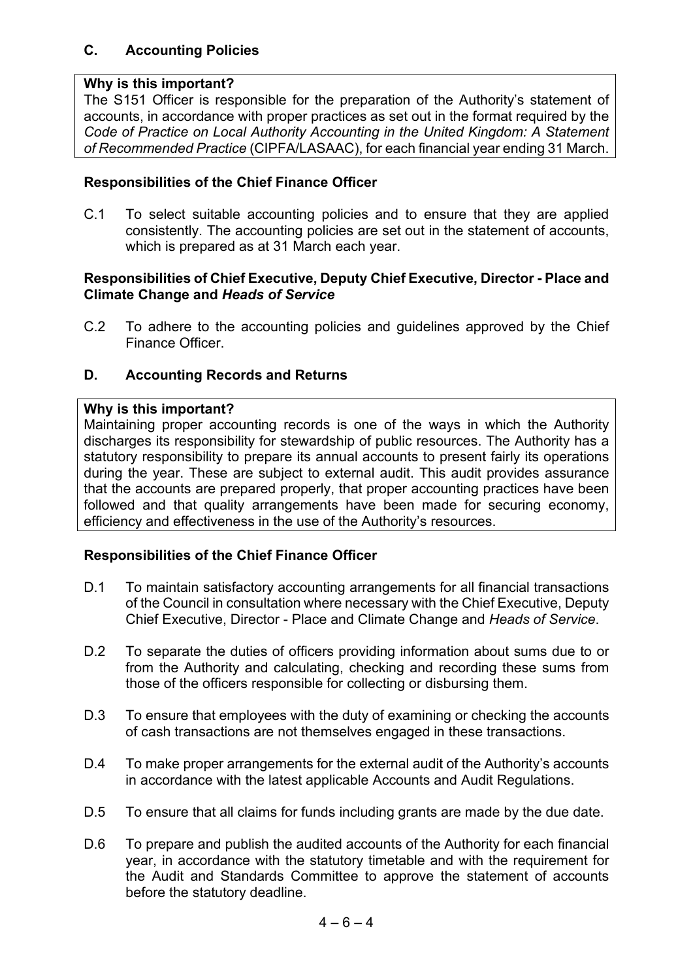#### **C. Accounting Policies**

#### **Why is this important?**

The S151 Officer is responsible for the preparation of the Authority's statement of accounts, in accordance with proper practices as set out in the format required by the *Code of Practice on Local Authority Accounting in the United Kingdom: A Statement of Recommended Practice* (CIPFA/LASAAC), for each financial year ending 31 March.

#### **Responsibilities of the Chief Finance Officer**

C.1 To select suitable accounting policies and to ensure that they are applied consistently. The accounting policies are set out in the statement of accounts, which is prepared as at 31 March each year.

#### **Responsibilities of Chief Executive, Deputy Chief Executive, Director - Place and Climate Change and** *Heads of Service*

C.2 To adhere to the accounting policies and guidelines approved by the Chief Finance Officer.

#### **D. Accounting Records and Returns**

#### **Why is this important?**

Maintaining proper accounting records is one of the ways in which the Authority discharges its responsibility for stewardship of public resources. The Authority has a statutory responsibility to prepare its annual accounts to present fairly its operations during the year. These are subject to external audit. This audit provides assurance that the accounts are prepared properly, that proper accounting practices have been followed and that quality arrangements have been made for securing economy, efficiency and effectiveness in the use of the Authority's resources.

#### **Responsibilities of the Chief Finance Officer**

- D.1 To maintain satisfactory accounting arrangements for all financial transactions of the Council in consultation where necessary with the Chief Executive, Deputy Chief Executive, Director - Place and Climate Change and *Heads of Service*.
- D.2 To separate the duties of officers providing information about sums due to or from the Authority and calculating, checking and recording these sums from those of the officers responsible for collecting or disbursing them.
- D.3 To ensure that employees with the duty of examining or checking the accounts of cash transactions are not themselves engaged in these transactions.
- D.4 To make proper arrangements for the external audit of the Authority's accounts in accordance with the latest applicable Accounts and Audit Regulations.
- D.5 To ensure that all claims for funds including grants are made by the due date.
- D.6 To prepare and publish the audited accounts of the Authority for each financial year, in accordance with the statutory timetable and with the requirement for the Audit and Standards Committee to approve the statement of accounts before the statutory deadline.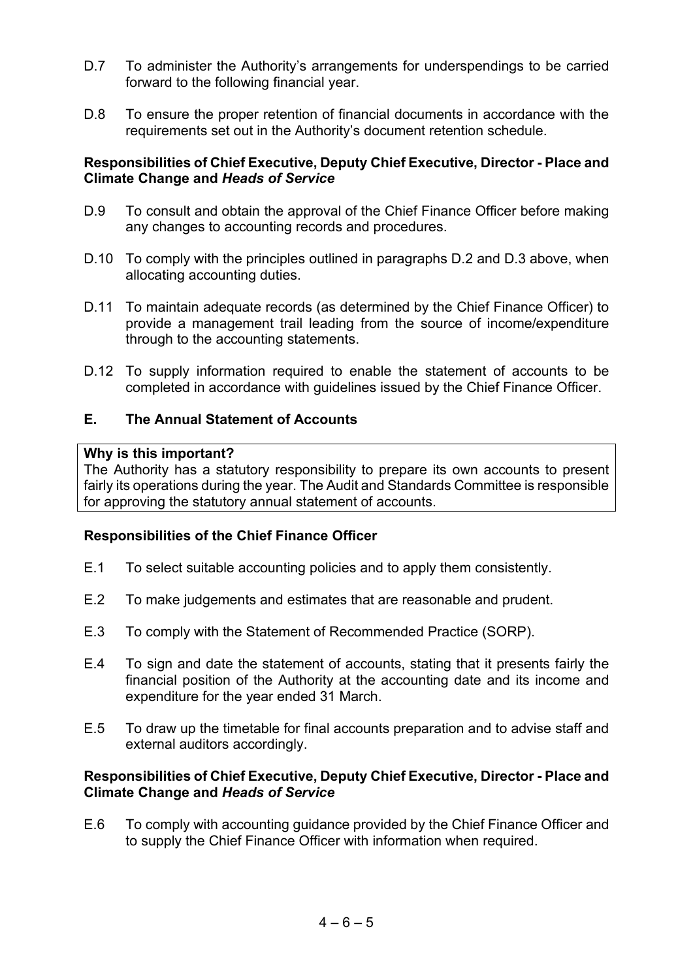- D.7 To administer the Authority's arrangements for underspendings to be carried forward to the following financial year.
- D.8 To ensure the proper retention of financial documents in accordance with the requirements set out in the Authority's document retention schedule.

#### **Responsibilities of Chief Executive, Deputy Chief Executive, Director - Place and Climate Change and** *Heads of Service*

- D.9 To consult and obtain the approval of the Chief Finance Officer before making any changes to accounting records and procedures.
- D.10 To comply with the principles outlined in paragraphs D.2 and D.3 above, when allocating accounting duties.
- D.11 To maintain adequate records (as determined by the Chief Finance Officer) to provide a management trail leading from the source of income/expenditure through to the accounting statements.
- D.12 To supply information required to enable the statement of accounts to be completed in accordance with guidelines issued by the Chief Finance Officer.

#### **E. The Annual Statement of Accounts**

#### **Why is this important?**

The Authority has a statutory responsibility to prepare its own accounts to present fairly its operations during the year. The Audit and Standards Committee is responsible for approving the statutory annual statement of accounts.

#### **Responsibilities of the Chief Finance Officer**

- E.1 To select suitable accounting policies and to apply them consistently.
- E.2 To make judgements and estimates that are reasonable and prudent.
- E.3 To comply with the Statement of Recommended Practice (SORP).
- E.4 To sign and date the statement of accounts, stating that it presents fairly the financial position of the Authority at the accounting date and its income and expenditure for the year ended 31 March.
- E.5 To draw up the timetable for final accounts preparation and to advise staff and external auditors accordingly.

#### **Responsibilities of Chief Executive, Deputy Chief Executive, Director - Place and Climate Change and** *Heads of Service*

E.6 To comply with accounting guidance provided by the Chief Finance Officer and to supply the Chief Finance Officer with information when required.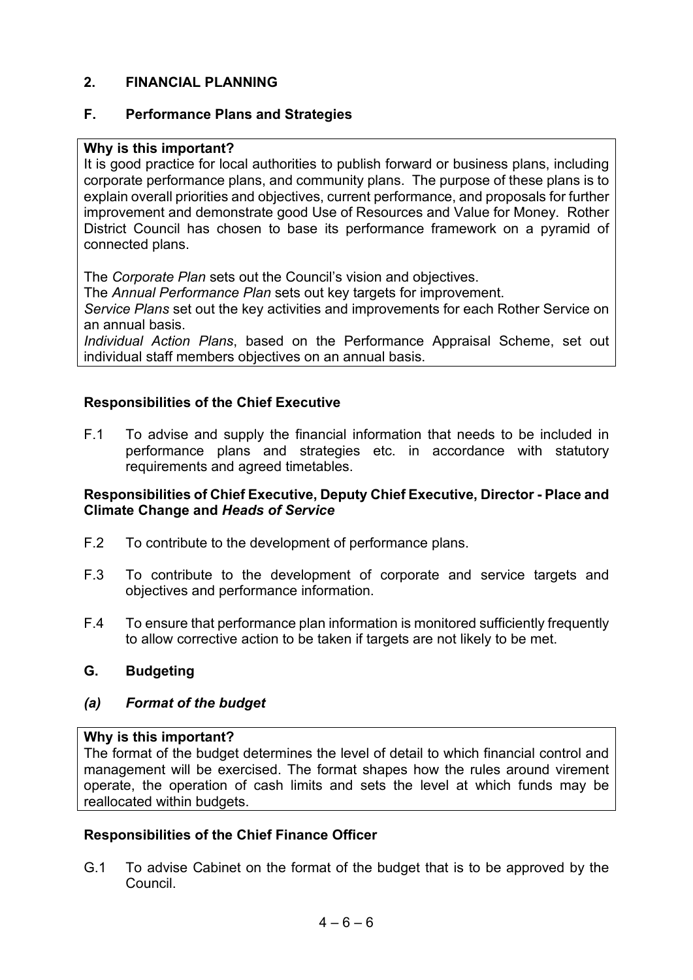#### **2. FINANCIAL PLANNING**

#### **F. Performance Plans and Strategies**

#### **Why is this important?**

It is good practice for local authorities to publish forward or business plans, including corporate performance plans, and community plans. The purpose of these plans is to explain overall priorities and objectives, current performance, and proposals for further improvement and demonstrate good Use of Resources and Value for Money. Rother District Council has chosen to base its performance framework on a pyramid of connected plans.

The *Corporate Plan* sets out the Council's vision and objectives.

The *Annual Performance Plan* sets out key targets for improvement.

*Service Plans* set out the key activities and improvements for each Rother Service on an annual basis.

*Individual Action Plans*, based on the Performance Appraisal Scheme, set out individual staff members objectives on an annual basis.

#### **Responsibilities of the Chief Executive**

F.1 To advise and supply the financial information that needs to be included in performance plans and strategies etc. in accordance with statutory requirements and agreed timetables.

#### **Responsibilities of Chief Executive, Deputy Chief Executive, Director - Place and Climate Change and** *Heads of Service*

- F.2 To contribute to the development of performance plans.
- F.3 To contribute to the development of corporate and service targets and objectives and performance information.
- F.4 To ensure that performance plan information is monitored sufficiently frequently to allow corrective action to be taken if targets are not likely to be met.

#### **G. Budgeting**

#### *(a) Format of the budget*

#### **Why is this important?**

The format of the budget determines the level of detail to which financial control and management will be exercised. The format shapes how the rules around virement operate, the operation of cash limits and sets the level at which funds may be reallocated within budgets.

#### **Responsibilities of the Chief Finance Officer**

G.1 To advise Cabinet on the format of the budget that is to be approved by the Council.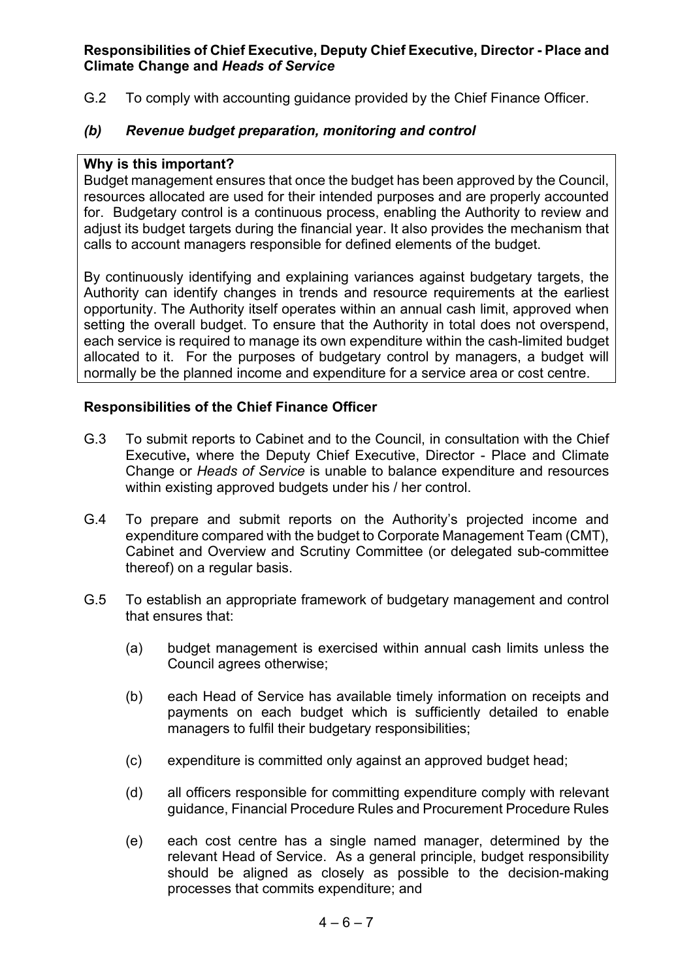#### **Responsibilities of Chief Executive, Deputy Chief Executive, Director - Place and Climate Change and** *Heads of Service*

G.2 To comply with accounting guidance provided by the Chief Finance Officer.

#### *(b) Revenue budget preparation, monitoring and control*

#### **Why is this important?**

Budget management ensures that once the budget has been approved by the Council, resources allocated are used for their intended purposes and are properly accounted for. Budgetary control is a continuous process, enabling the Authority to review and adjust its budget targets during the financial year. It also provides the mechanism that calls to account managers responsible for defined elements of the budget.

By continuously identifying and explaining variances against budgetary targets, the Authority can identify changes in trends and resource requirements at the earliest opportunity. The Authority itself operates within an annual cash limit, approved when setting the overall budget. To ensure that the Authority in total does not overspend, each service is required to manage its own expenditure within the cash-limited budget allocated to it. For the purposes of budgetary control by managers, a budget will normally be the planned income and expenditure for a service area or cost centre.

#### **Responsibilities of the Chief Finance Officer**

- G.3 To submit reports to Cabinet and to the Council, in consultation with the Chief Executive**,** where the Deputy Chief Executive, Director - Place and Climate Change or *Heads of Service* is unable to balance expenditure and resources within existing approved budgets under his / her control.
- G.4 To prepare and submit reports on the Authority's projected income and expenditure compared with the budget to Corporate Management Team (CMT), Cabinet and Overview and Scrutiny Committee (or delegated sub-committee thereof) on a regular basis.
- G.5 To establish an appropriate framework of budgetary management and control that ensures that:
	- (a) budget management is exercised within annual cash limits unless the Council agrees otherwise;
	- (b) each Head of Service has available timely information on receipts and payments on each budget which is sufficiently detailed to enable managers to fulfil their budgetary responsibilities;
	- (c) expenditure is committed only against an approved budget head;
	- (d) all officers responsible for committing expenditure comply with relevant guidance, Financial Procedure Rules and Procurement Procedure Rules
	- (e) each cost centre has a single named manager, determined by the relevant Head of Service. As a general principle, budget responsibility should be aligned as closely as possible to the decision-making processes that commits expenditure; and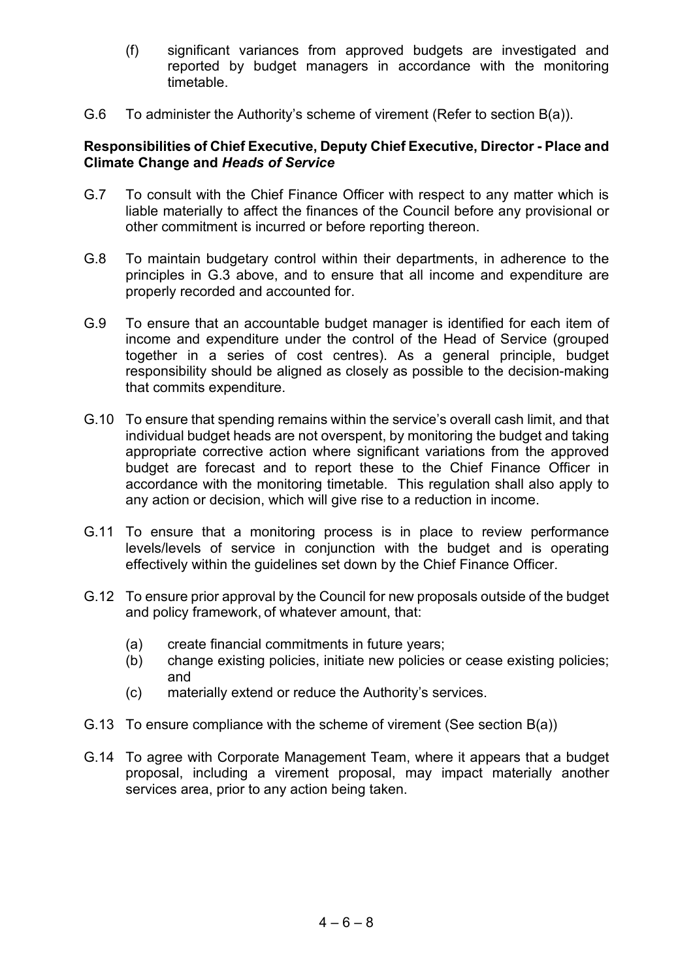- (f) significant variances from approved budgets are investigated and reported by budget managers in accordance with the monitoring timetable.
- G.6 To administer the Authority's scheme of virement (Refer to section B(a)).

- G.7 To consult with the Chief Finance Officer with respect to any matter which is liable materially to affect the finances of the Council before any provisional or other commitment is incurred or before reporting thereon.
- G.8 To maintain budgetary control within their departments, in adherence to the principles in G.3 above, and to ensure that all income and expenditure are properly recorded and accounted for.
- G.9 To ensure that an accountable budget manager is identified for each item of income and expenditure under the control of the Head of Service (grouped together in a series of cost centres). As a general principle, budget responsibility should be aligned as closely as possible to the decision-making that commits expenditure.
- G.10 To ensure that spending remains within the service's overall cash limit, and that individual budget heads are not overspent, by monitoring the budget and taking appropriate corrective action where significant variations from the approved budget are forecast and to report these to the Chief Finance Officer in accordance with the monitoring timetable. This regulation shall also apply to any action or decision, which will give rise to a reduction in income.
- G.11 To ensure that a monitoring process is in place to review performance levels/levels of service in conjunction with the budget and is operating effectively within the guidelines set down by the Chief Finance Officer.
- G.12 To ensure prior approval by the Council for new proposals outside of the budget and policy framework, of whatever amount, that:
	- (a) create financial commitments in future years;
	- (b) change existing policies, initiate new policies or cease existing policies; and
	- (c) materially extend or reduce the Authority's services.
- G.13 To ensure compliance with the scheme of virement (See section B(a))
- G.14 To agree with Corporate Management Team, where it appears that a budget proposal, including a virement proposal, may impact materially another services area, prior to any action being taken.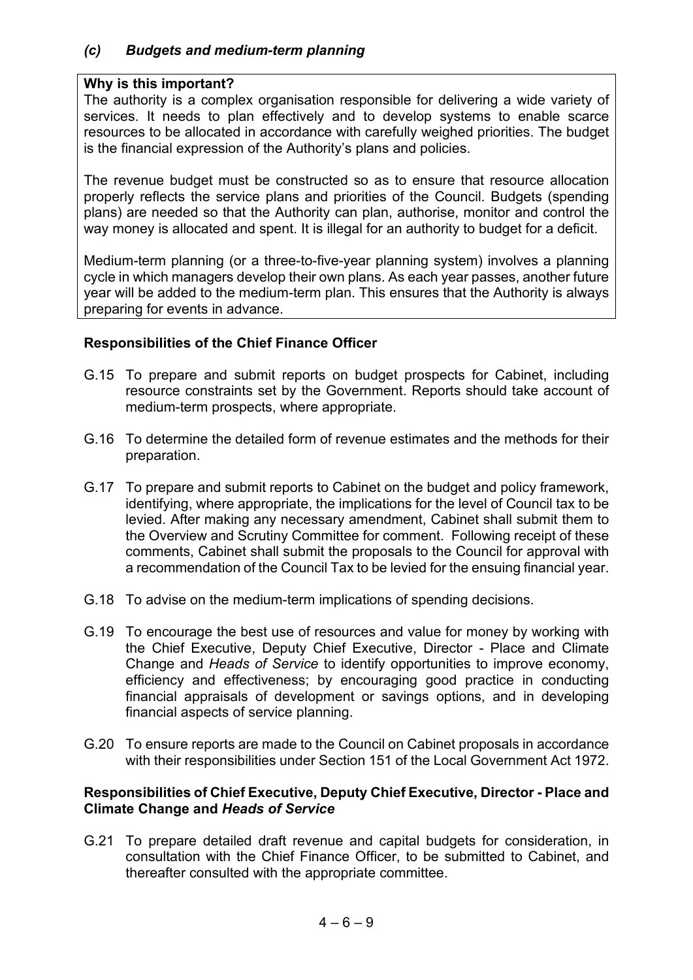#### **Why is this important?**

The authority is a complex organisation responsible for delivering a wide variety of services. It needs to plan effectively and to develop systems to enable scarce resources to be allocated in accordance with carefully weighed priorities. The budget is the financial expression of the Authority's plans and policies.

The revenue budget must be constructed so as to ensure that resource allocation properly reflects the service plans and priorities of the Council. Budgets (spending plans) are needed so that the Authority can plan, authorise, monitor and control the way money is allocated and spent. It is illegal for an authority to budget for a deficit.

Medium-term planning (or a three-to-five-year planning system) involves a planning cycle in which managers develop their own plans. As each year passes, another future year will be added to the medium-term plan. This ensures that the Authority is always preparing for events in advance.

#### **Responsibilities of the Chief Finance Officer**

- G.15 To prepare and submit reports on budget prospects for Cabinet, including resource constraints set by the Government. Reports should take account of medium-term prospects, where appropriate.
- G.16 To determine the detailed form of revenue estimates and the methods for their preparation.
- G.17 To prepare and submit reports to Cabinet on the budget and policy framework, identifying, where appropriate, the implications for the level of Council tax to be levied. After making any necessary amendment, Cabinet shall submit them to the Overview and Scrutiny Committee for comment. Following receipt of these comments, Cabinet shall submit the proposals to the Council for approval with a recommendation of the Council Tax to be levied for the ensuing financial year.
- G.18 To advise on the medium-term implications of spending decisions.
- G.19 To encourage the best use of resources and value for money by working with the Chief Executive, Deputy Chief Executive, Director - Place and Climate Change and *Heads of Service* to identify opportunities to improve economy, efficiency and effectiveness; by encouraging good practice in conducting financial appraisals of development or savings options, and in developing financial aspects of service planning.
- G.20 To ensure reports are made to the Council on Cabinet proposals in accordance with their responsibilities under Section 151 of the Local Government Act 1972.

#### **Responsibilities of Chief Executive, Deputy Chief Executive, Director - Place and Climate Change and** *Heads of Service*

G.21 To prepare detailed draft revenue and capital budgets for consideration, in consultation with the Chief Finance Officer, to be submitted to Cabinet, and thereafter consulted with the appropriate committee.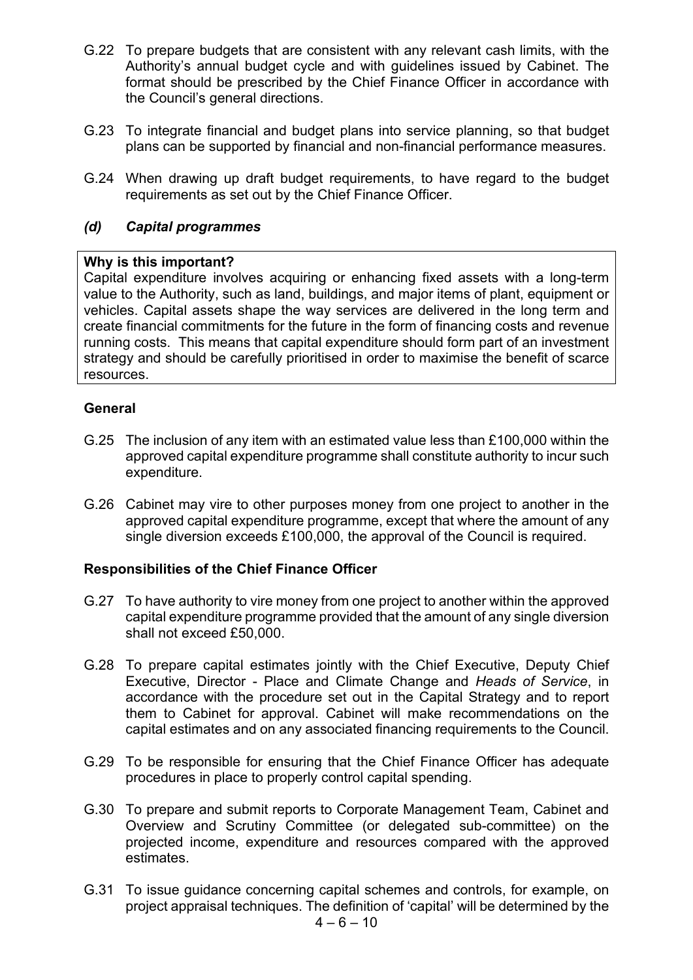- G.22 To prepare budgets that are consistent with any relevant cash limits, with the Authority's annual budget cycle and with guidelines issued by Cabinet. The format should be prescribed by the Chief Finance Officer in accordance with the Council's general directions.
- G.23 To integrate financial and budget plans into service planning, so that budget plans can be supported by financial and non-financial performance measures.
- G.24 When drawing up draft budget requirements, to have regard to the budget requirements as set out by the Chief Finance Officer.

#### *(d) Capital programmes*

#### **Why is this important?**

Capital expenditure involves acquiring or enhancing fixed assets with a long-term value to the Authority, such as land, buildings, and major items of plant, equipment or vehicles. Capital assets shape the way services are delivered in the long term and create financial commitments for the future in the form of financing costs and revenue running costs. This means that capital expenditure should form part of an investment strategy and should be carefully prioritised in order to maximise the benefit of scarce resources.

#### **General**

- G.25 The inclusion of any item with an estimated value less than £100,000 within the approved capital expenditure programme shall constitute authority to incur such expenditure.
- G.26 Cabinet may vire to other purposes money from one project to another in the approved capital expenditure programme, except that where the amount of any single diversion exceeds £100,000, the approval of the Council is required.

#### **Responsibilities of the Chief Finance Officer**

- G.27 To have authority to vire money from one project to another within the approved capital expenditure programme provided that the amount of any single diversion shall not exceed £50,000.
- G.28 To prepare capital estimates jointly with the Chief Executive, Deputy Chief Executive, Director - Place and Climate Change and *Heads of Service*, in accordance with the procedure set out in the Capital Strategy and to report them to Cabinet for approval. Cabinet will make recommendations on the capital estimates and on any associated financing requirements to the Council.
- G.29 To be responsible for ensuring that the Chief Finance Officer has adequate procedures in place to properly control capital spending.
- G.30 To prepare and submit reports to Corporate Management Team, Cabinet and Overview and Scrutiny Committee (or delegated sub-committee) on the projected income, expenditure and resources compared with the approved estimates.
- G.31 To issue guidance concerning capital schemes and controls, for example, on project appraisal techniques. The definition of 'capital' will be determined by the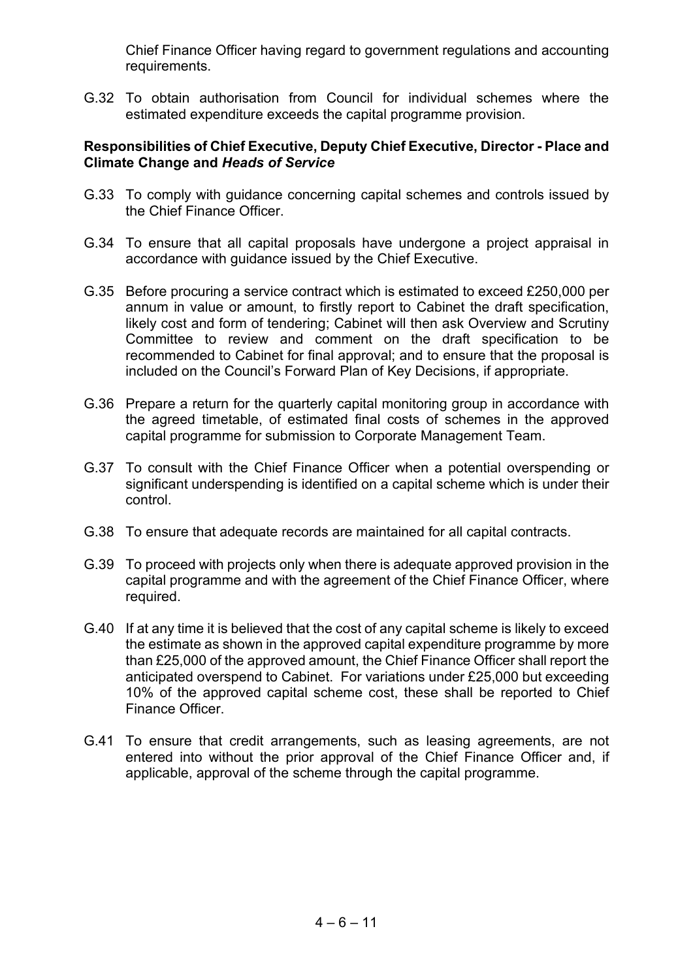Chief Finance Officer having regard to government regulations and accounting requirements.

G.32 To obtain authorisation from Council for individual schemes where the estimated expenditure exceeds the capital programme provision.

- G.33 To comply with guidance concerning capital schemes and controls issued by the Chief Finance Officer.
- G.34 To ensure that all capital proposals have undergone a project appraisal in accordance with guidance issued by the Chief Executive.
- G.35 Before procuring a service contract which is estimated to exceed £250,000 per annum in value or amount, to firstly report to Cabinet the draft specification, likely cost and form of tendering; Cabinet will then ask Overview and Scrutiny Committee to review and comment on the draft specification to be recommended to Cabinet for final approval; and to ensure that the proposal is included on the Council's Forward Plan of Key Decisions, if appropriate.
- G.36 Prepare a return for the quarterly capital monitoring group in accordance with the agreed timetable, of estimated final costs of schemes in the approved capital programme for submission to Corporate Management Team.
- G.37 To consult with the Chief Finance Officer when a potential overspending or significant underspending is identified on a capital scheme which is under their control.
- G.38 To ensure that adequate records are maintained for all capital contracts.
- G.39 To proceed with projects only when there is adequate approved provision in the capital programme and with the agreement of the Chief Finance Officer, where required.
- G.40 If at any time it is believed that the cost of any capital scheme is likely to exceed the estimate as shown in the approved capital expenditure programme by more than £25,000 of the approved amount, the Chief Finance Officer shall report the anticipated overspend to Cabinet. For variations under £25,000 but exceeding 10% of the approved capital scheme cost, these shall be reported to Chief Finance Officer.
- G.41 To ensure that credit arrangements, such as leasing agreements, are not entered into without the prior approval of the Chief Finance Officer and, if applicable, approval of the scheme through the capital programme.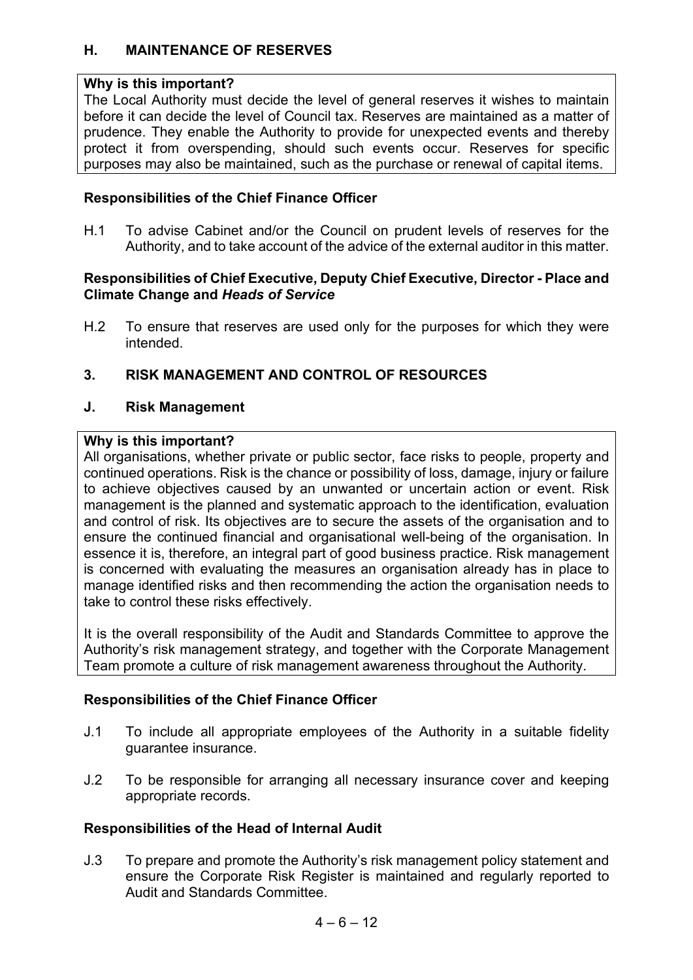#### **H. MAINTENANCE OF RESERVES**

#### **Why is this important?**

The Local Authority must decide the level of general reserves it wishes to maintain before it can decide the level of Council tax. Reserves are maintained as a matter of prudence. They enable the Authority to provide for unexpected events and thereby protect it from overspending, should such events occur. Reserves for specific purposes may also be maintained, such as the purchase or renewal of capital items.

#### **Responsibilities of the Chief Finance Officer**

H.1 To advise Cabinet and/or the Council on prudent levels of reserves for the Authority, and to take account of the advice of the external auditor in this matter.

#### **Responsibilities of Chief Executive, Deputy Chief Executive, Director - Place and Climate Change and** *Heads of Service*

H.2 To ensure that reserves are used only for the purposes for which they were intended.

#### **3. RISK MANAGEMENT AND CONTROL OF RESOURCES**

#### **J. Risk Management**

#### **Why is this important?**

All organisations, whether private or public sector, face risks to people, property and continued operations. Risk is the chance or possibility of loss, damage, injury or failure to achieve objectives caused by an unwanted or uncertain action or event. Risk management is the planned and systematic approach to the identification, evaluation and control of risk. Its objectives are to secure the assets of the organisation and to ensure the continued financial and organisational well-being of the organisation. In essence it is, therefore, an integral part of good business practice. Risk management is concerned with evaluating the measures an organisation already has in place to manage identified risks and then recommending the action the organisation needs to take to control these risks effectively.

It is the overall responsibility of the Audit and Standards Committee to approve the Authority's risk management strategy, and together with the Corporate Management Team promote a culture of risk management awareness throughout the Authority.

#### **Responsibilities of the Chief Finance Officer**

- J.1 To include all appropriate employees of the Authority in a suitable fidelity guarantee insurance.
- J.2 To be responsible for arranging all necessary insurance cover and keeping appropriate records.

#### **Responsibilities of the Head of Internal Audit**

J.3 To prepare and promote the Authority's risk management policy statement and ensure the Corporate Risk Register is maintained and regularly reported to Audit and Standards Committee.

 $4 - 6 - 12$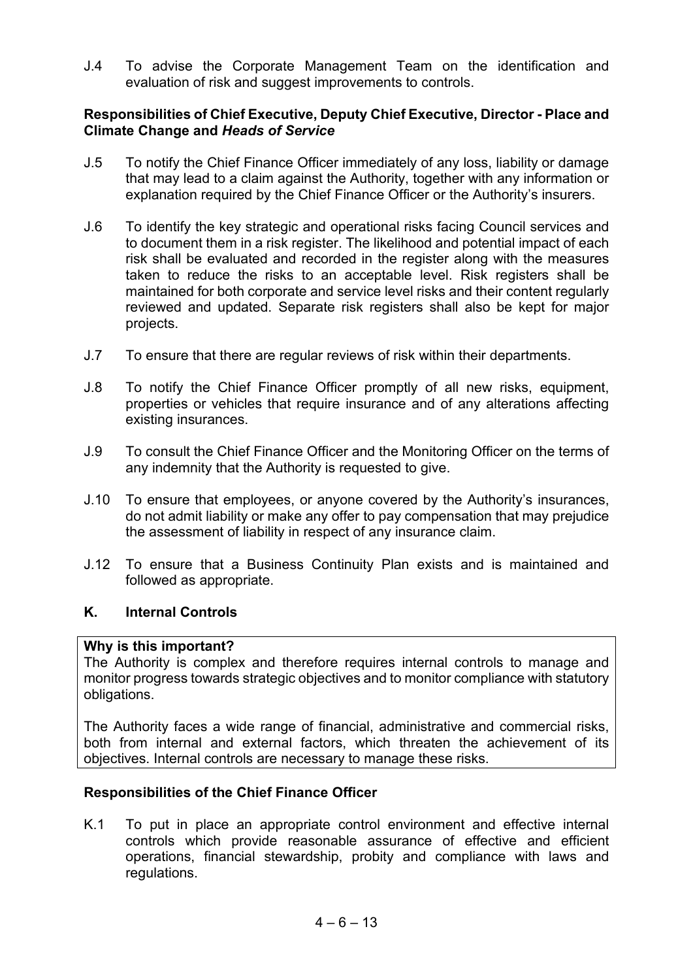J.4 To advise the Corporate Management Team on the identification and evaluation of risk and suggest improvements to controls.

#### **Responsibilities of Chief Executive, Deputy Chief Executive, Director - Place and Climate Change and** *Heads of Service*

- J.5 To notify the Chief Finance Officer immediately of any loss, liability or damage that may lead to a claim against the Authority, together with any information or explanation required by the Chief Finance Officer or the Authority's insurers.
- J.6 To identify the key strategic and operational risks facing Council services and to document them in a risk register. The likelihood and potential impact of each risk shall be evaluated and recorded in the register along with the measures taken to reduce the risks to an acceptable level. Risk registers shall be maintained for both corporate and service level risks and their content regularly reviewed and updated. Separate risk registers shall also be kept for major projects.
- J.7 To ensure that there are regular reviews of risk within their departments.
- J.8 To notify the Chief Finance Officer promptly of all new risks, equipment, properties or vehicles that require insurance and of any alterations affecting existing insurances.
- J.9 To consult the Chief Finance Officer and the Monitoring Officer on the terms of any indemnity that the Authority is requested to give.
- J.10 To ensure that employees, or anyone covered by the Authority's insurances, do not admit liability or make any offer to pay compensation that may prejudice the assessment of liability in respect of any insurance claim.
- J.12 To ensure that a Business Continuity Plan exists and is maintained and followed as appropriate.

#### **K. Internal Controls**

#### **Why is this important?**

The Authority is complex and therefore requires internal controls to manage and monitor progress towards strategic objectives and to monitor compliance with statutory obligations.

The Authority faces a wide range of financial, administrative and commercial risks, both from internal and external factors, which threaten the achievement of its objectives. Internal controls are necessary to manage these risks.

#### **Responsibilities of the Chief Finance Officer**

K.1 To put in place an appropriate control environment and effective internal controls which provide reasonable assurance of effective and efficient operations, financial stewardship, probity and compliance with laws and regulations.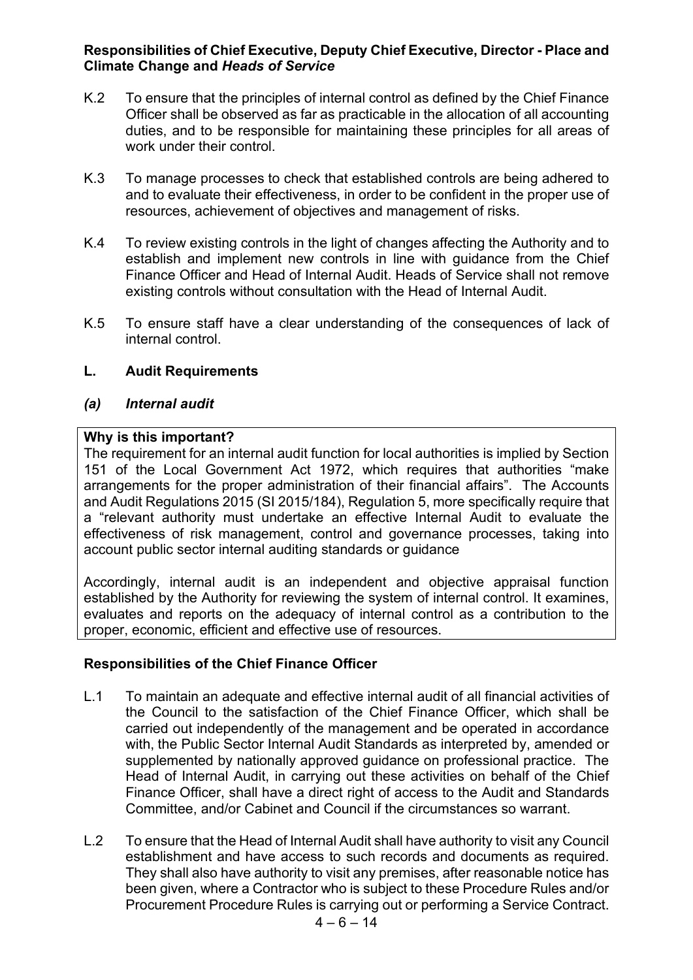#### **Responsibilities of Chief Executive, Deputy Chief Executive, Director - Place and Climate Change and** *Heads of Service*

- K.2 To ensure that the principles of internal control as defined by the Chief Finance Officer shall be observed as far as practicable in the allocation of all accounting duties, and to be responsible for maintaining these principles for all areas of work under their control.
- K.3 To manage processes to check that established controls are being adhered to and to evaluate their effectiveness, in order to be confident in the proper use of resources, achievement of objectives and management of risks.
- K.4 To review existing controls in the light of changes affecting the Authority and to establish and implement new controls in line with guidance from the Chief Finance Officer and Head of Internal Audit. Heads of Service shall not remove existing controls without consultation with the Head of Internal Audit.
- K.5 To ensure staff have a clear understanding of the consequences of lack of internal control.

#### **L. Audit Requirements**

#### *(a) Internal audit*

#### **Why is this important?**

The requirement for an internal audit function for local authorities is implied by Section 151 of the Local Government Act 1972, which requires that authorities "make arrangements for the proper administration of their financial affairs". The Accounts and Audit Regulations 2015 (SI 2015/184), Regulation 5, more specifically require that a "relevant authority must undertake an effective Internal Audit to evaluate the effectiveness of risk management, control and governance processes, taking into account public sector internal auditing standards or guidance

Accordingly, internal audit is an independent and objective appraisal function established by the Authority for reviewing the system of internal control. It examines, evaluates and reports on the adequacy of internal control as a contribution to the proper, economic, efficient and effective use of resources.

#### **Responsibilities of the Chief Finance Officer**

- L.1 To maintain an adequate and effective internal audit of all financial activities of the Council to the satisfaction of the Chief Finance Officer, which shall be carried out independently of the management and be operated in accordance with, the Public Sector Internal Audit Standards as interpreted by, amended or supplemented by nationally approved guidance on professional practice. The Head of Internal Audit, in carrying out these activities on behalf of the Chief Finance Officer, shall have a direct right of access to the Audit and Standards Committee, and/or Cabinet and Council if the circumstances so warrant.
- L.2 To ensure that the Head of Internal Audit shall have authority to visit any Council establishment and have access to such records and documents as required. They shall also have authority to visit any premises, after reasonable notice has been given, where a Contractor who is subject to these Procedure Rules and/or Procurement Procedure Rules is carrying out or performing a Service Contract.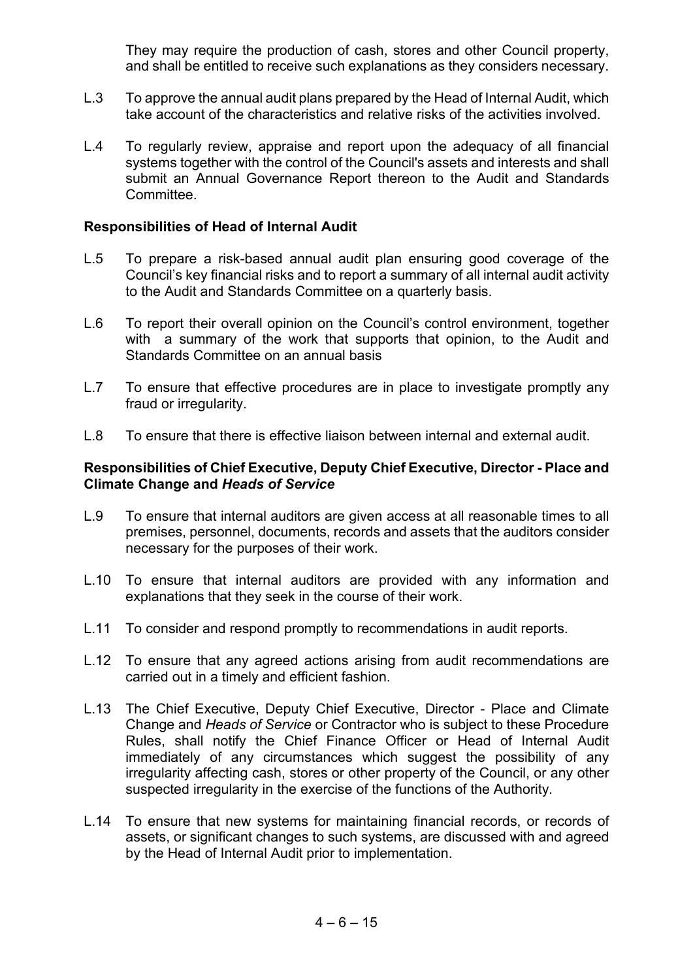They may require the production of cash, stores and other Council property, and shall be entitled to receive such explanations as they considers necessary.

- L.3 To approve the annual audit plans prepared by the Head of Internal Audit, which take account of the characteristics and relative risks of the activities involved.
- L.4 To regularly review, appraise and report upon the adequacy of all financial systems together with the control of the Council's assets and interests and shall submit an Annual Governance Report thereon to the Audit and Standards Committee.

#### **Responsibilities of Head of Internal Audit**

- L.5 To prepare a risk-based annual audit plan ensuring good coverage of the Council's key financial risks and to report a summary of all internal audit activity to the Audit and Standards Committee on a quarterly basis.
- L.6 To report their overall opinion on the Council's control environment, together with a summary of the work that supports that opinion, to the Audit and Standards Committee on an annual basis
- L.7 To ensure that effective procedures are in place to investigate promptly any fraud or irregularity.
- L.8 To ensure that there is effective liaison between internal and external audit.

- L.9 To ensure that internal auditors are given access at all reasonable times to all premises, personnel, documents, records and assets that the auditors consider necessary for the purposes of their work.
- L.10 To ensure that internal auditors are provided with any information and explanations that they seek in the course of their work.
- L.11 To consider and respond promptly to recommendations in audit reports.
- L.12 To ensure that any agreed actions arising from audit recommendations are carried out in a timely and efficient fashion.
- L.13 The Chief Executive, Deputy Chief Executive, Director Place and Climate Change and *Heads of Service* or Contractor who is subject to these Procedure Rules, shall notify the Chief Finance Officer or Head of Internal Audit immediately of any circumstances which suggest the possibility of any irregularity affecting cash, stores or other property of the Council, or any other suspected irregularity in the exercise of the functions of the Authority.
- L.14 To ensure that new systems for maintaining financial records, or records of assets, or significant changes to such systems, are discussed with and agreed by the Head of Internal Audit prior to implementation.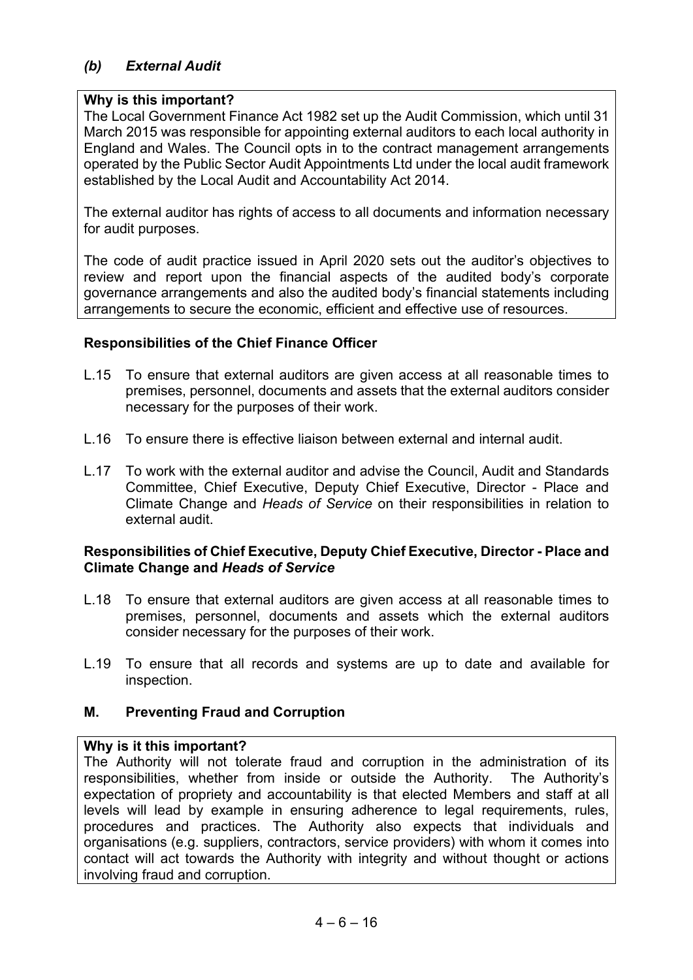### *(b) External Audit*

#### **Why is this important?**

The Local Government Finance Act 1982 set up the Audit Commission, which until 31 March 2015 was responsible for appointing external auditors to each local authority in England and Wales. The Council opts in to the contract management arrangements operated by the Public Sector Audit Appointments Ltd under the local audit framework established by the Local Audit and Accountability Act 2014.

The external auditor has rights of access to all documents and information necessary for audit purposes.

The code of audit practice issued in April 2020 sets out the auditor's objectives to review and report upon the financial aspects of the audited body's corporate governance arrangements and also the audited body's financial statements including arrangements to secure the economic, efficient and effective use of resources.

#### **Responsibilities of the Chief Finance Officer**

- L.15 To ensure that external auditors are given access at all reasonable times to premises, personnel, documents and assets that the external auditors consider necessary for the purposes of their work.
- L.16 To ensure there is effective liaison between external and internal audit.
- L.17 To work with the external auditor and advise the Council, Audit and Standards Committee, Chief Executive, Deputy Chief Executive, Director - Place and Climate Change and *Heads of Service* on their responsibilities in relation to external audit.

#### **Responsibilities of Chief Executive, Deputy Chief Executive, Director - Place and Climate Change and** *Heads of Service*

- L.18 To ensure that external auditors are given access at all reasonable times to premises, personnel, documents and assets which the external auditors consider necessary for the purposes of their work.
- L.19 To ensure that all records and systems are up to date and available for inspection.

#### **M. Preventing Fraud and Corruption**

#### **Why is it this important?**

The Authority will not tolerate fraud and corruption in the administration of its responsibilities, whether from inside or outside the Authority. The Authority's expectation of propriety and accountability is that elected Members and staff at all levels will lead by example in ensuring adherence to legal requirements, rules, procedures and practices. The Authority also expects that individuals and organisations (e.g. suppliers, contractors, service providers) with whom it comes into contact will act towards the Authority with integrity and without thought or actions involving fraud and corruption.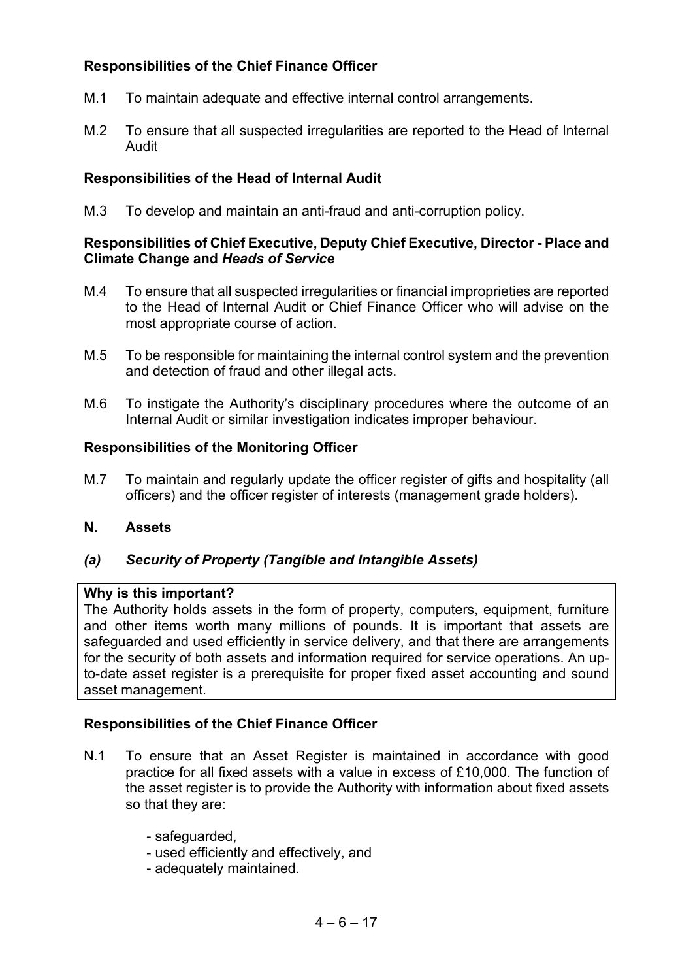## **Responsibilities of the Chief Finance Officer**

- M.1 To maintain adequate and effective internal control arrangements.
- M.2 To ensure that all suspected irregularities are reported to the Head of Internal Audit

### **Responsibilities of the Head of Internal Audit**

M.3 To develop and maintain an anti-fraud and anti-corruption policy.

#### **Responsibilities of Chief Executive, Deputy Chief Executive, Director - Place and Climate Change and** *Heads of Service*

- M.4 To ensure that all suspected irregularities or financial improprieties are reported to the Head of Internal Audit or Chief Finance Officer who will advise on the most appropriate course of action.
- M.5 To be responsible for maintaining the internal control system and the prevention and detection of fraud and other illegal acts.
- M.6 To instigate the Authority's disciplinary procedures where the outcome of an Internal Audit or similar investigation indicates improper behaviour.

#### **Responsibilities of the Monitoring Officer**

- M.7 To maintain and regularly update the officer register of gifts and hospitality (all officers) and the officer register of interests (management grade holders).
- **N. Assets**

#### *(a) Security of Property (Tangible and Intangible Assets)*

#### **Why is this important?**

The Authority holds assets in the form of property, computers, equipment, furniture and other items worth many millions of pounds. It is important that assets are safeguarded and used efficiently in service delivery, and that there are arrangements for the security of both assets and information required for service operations. An upto-date asset register is a prerequisite for proper fixed asset accounting and sound asset management.

#### **Responsibilities of the Chief Finance Officer**

- N.1 To ensure that an Asset Register is maintained in accordance with good practice for all fixed assets with a value in excess of £10,000. The function of the asset register is to provide the Authority with information about fixed assets so that they are:
	- safeguarded,
	- used efficiently and effectively, and
	- adequately maintained.

 $4 - 6 - 17$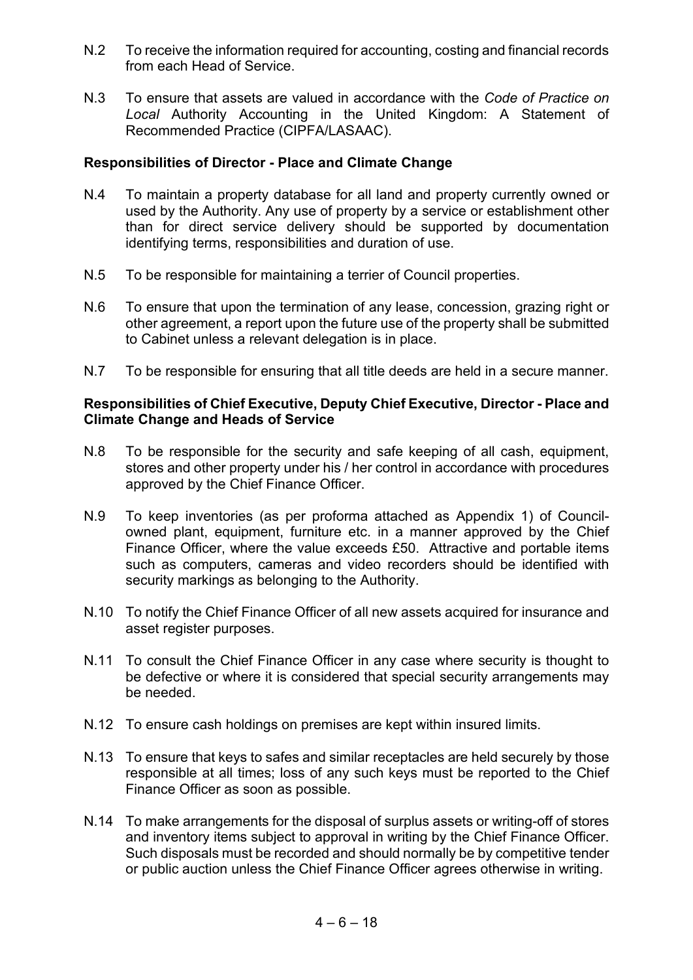- N.2 To receive the information required for accounting, costing and financial records from each Head of Service.
- N.3 To ensure that assets are valued in accordance with the *Code of Practice on Local* Authority Accounting in the United Kingdom: A Statement of Recommended Practice (CIPFA/LASAAC).

#### **Responsibilities of Director - Place and Climate Change**

- N.4 To maintain a property database for all land and property currently owned or used by the Authority. Any use of property by a service or establishment other than for direct service delivery should be supported by documentation identifying terms, responsibilities and duration of use.
- N.5 To be responsible for maintaining a terrier of Council properties.
- N.6 To ensure that upon the termination of any lease, concession, grazing right or other agreement, a report upon the future use of the property shall be submitted to Cabinet unless a relevant delegation is in place.
- N.7 To be responsible for ensuring that all title deeds are held in a secure manner.

- N.8 To be responsible for the security and safe keeping of all cash, equipment, stores and other property under his / her control in accordance with procedures approved by the Chief Finance Officer.
- N.9 To keep inventories (as per proforma attached as Appendix 1) of Councilowned plant, equipment, furniture etc. in a manner approved by the Chief Finance Officer, where the value exceeds £50. Attractive and portable items such as computers, cameras and video recorders should be identified with security markings as belonging to the Authority.
- N.10 To notify the Chief Finance Officer of all new assets acquired for insurance and asset register purposes.
- N.11 To consult the Chief Finance Officer in any case where security is thought to be defective or where it is considered that special security arrangements may be needed.
- N.12 To ensure cash holdings on premises are kept within insured limits.
- N.13 To ensure that keys to safes and similar receptacles are held securely by those responsible at all times; loss of any such keys must be reported to the Chief Finance Officer as soon as possible.
- N.14 To make arrangements for the disposal of surplus assets or writing-off of stores and inventory items subject to approval in writing by the Chief Finance Officer. Such disposals must be recorded and should normally be by competitive tender or public auction unless the Chief Finance Officer agrees otherwise in writing.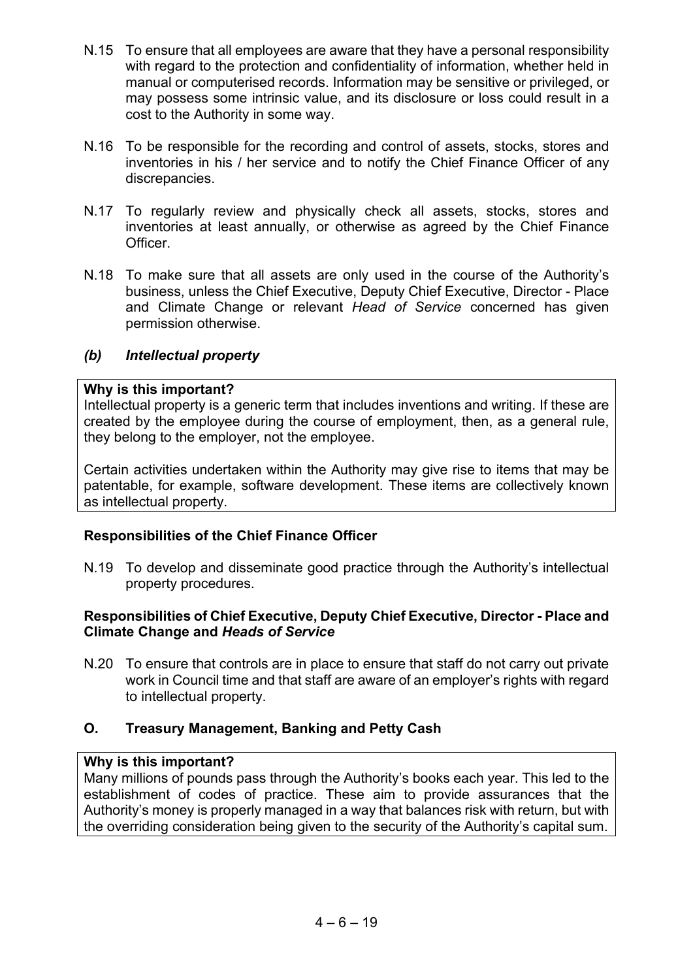- N.15 To ensure that all employees are aware that they have a personal responsibility with regard to the protection and confidentiality of information, whether held in manual or computerised records. Information may be sensitive or privileged, or may possess some intrinsic value, and its disclosure or loss could result in a cost to the Authority in some way.
- N.16 To be responsible for the recording and control of assets, stocks, stores and inventories in his / her service and to notify the Chief Finance Officer of any discrepancies.
- N.17 To regularly review and physically check all assets, stocks, stores and inventories at least annually, or otherwise as agreed by the Chief Finance Officer.
- N.18 To make sure that all assets are only used in the course of the Authority's business, unless the Chief Executive, Deputy Chief Executive, Director - Place and Climate Change or relevant *Head of Service* concerned has given permission otherwise.

#### *(b) Intellectual property*

#### **Why is this important?**

Intellectual property is a generic term that includes inventions and writing. If these are created by the employee during the course of employment, then, as a general rule, they belong to the employer, not the employee.

Certain activities undertaken within the Authority may give rise to items that may be patentable, for example, software development. These items are collectively known as intellectual property.

#### **Responsibilities of the Chief Finance Officer**

N.19 To develop and disseminate good practice through the Authority's intellectual property procedures.

#### **Responsibilities of Chief Executive, Deputy Chief Executive, Director - Place and Climate Change and** *Heads of Service*

N.20 To ensure that controls are in place to ensure that staff do not carry out private work in Council time and that staff are aware of an employer's rights with regard to intellectual property.

#### **O. Treasury Management, Banking and Petty Cash**

#### **Why is this important?**

Many millions of pounds pass through the Authority's books each year. This led to the establishment of codes of practice. These aim to provide assurances that the Authority's money is properly managed in a way that balances risk with return, but with the overriding consideration being given to the security of the Authority's capital sum.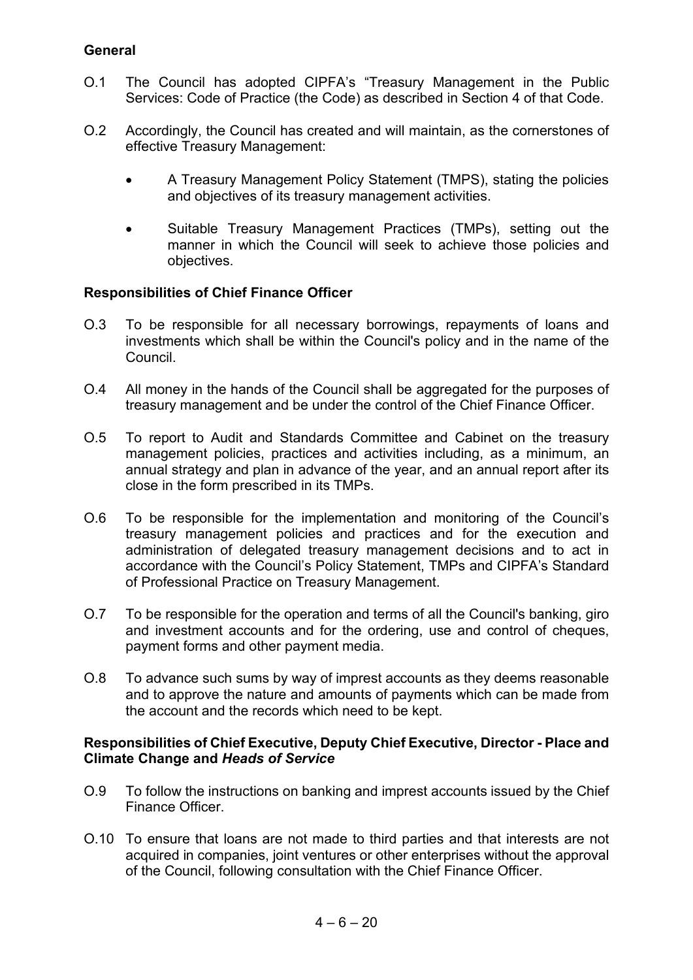#### **General**

- O.1 The Council has adopted CIPFA's "Treasury Management in the Public Services: Code of Practice (the Code) as described in Section 4 of that Code.
- O.2 Accordingly, the Council has created and will maintain, as the cornerstones of effective Treasury Management:
	- A Treasury Management Policy Statement (TMPS), stating the policies and objectives of its treasury management activities.
	- Suitable Treasury Management Practices (TMPs), setting out the manner in which the Council will seek to achieve those policies and objectives.

#### **Responsibilities of Chief Finance Officer**

- O.3 To be responsible for all necessary borrowings, repayments of loans and investments which shall be within the Council's policy and in the name of the Council.
- O.4 All money in the hands of the Council shall be aggregated for the purposes of treasury management and be under the control of the Chief Finance Officer.
- O.5 To report to Audit and Standards Committee and Cabinet on the treasury management policies, practices and activities including, as a minimum, an annual strategy and plan in advance of the year, and an annual report after its close in the form prescribed in its TMPs.
- O.6 To be responsible for the implementation and monitoring of the Council's treasury management policies and practices and for the execution and administration of delegated treasury management decisions and to act in accordance with the Council's Policy Statement, TMPs and CIPFA's Standard of Professional Practice on Treasury Management.
- O.7 To be responsible for the operation and terms of all the Council's banking, giro and investment accounts and for the ordering, use and control of cheques, payment forms and other payment media.
- O.8 To advance such sums by way of imprest accounts as they deems reasonable and to approve the nature and amounts of payments which can be made from the account and the records which need to be kept.

- O.9 To follow the instructions on banking and imprest accounts issued by the Chief Finance Officer.
- O.10 To ensure that loans are not made to third parties and that interests are not acquired in companies, joint ventures or other enterprises without the approval of the Council, following consultation with the Chief Finance Officer.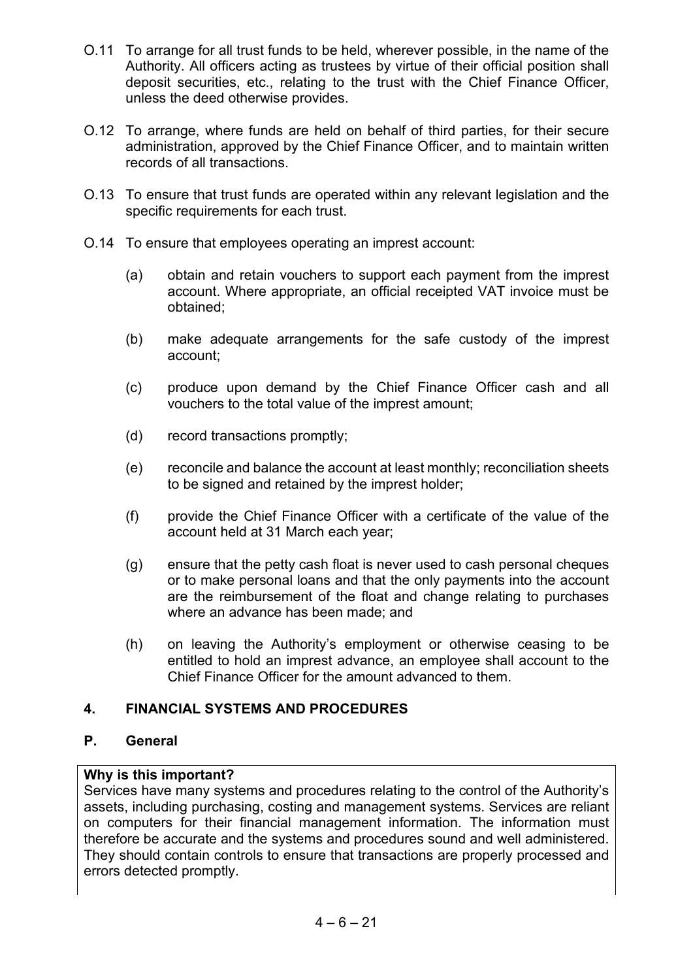- O.11 To arrange for all trust funds to be held, wherever possible, in the name of the Authority. All officers acting as trustees by virtue of their official position shall deposit securities, etc., relating to the trust with the Chief Finance Officer, unless the deed otherwise provides.
- O.12 To arrange, where funds are held on behalf of third parties, for their secure administration, approved by the Chief Finance Officer, and to maintain written records of all transactions.
- O.13 To ensure that trust funds are operated within any relevant legislation and the specific requirements for each trust.
- O.14 To ensure that employees operating an imprest account:
	- (a) obtain and retain vouchers to support each payment from the imprest account. Where appropriate, an official receipted VAT invoice must be obtained;
	- (b) make adequate arrangements for the safe custody of the imprest account;
	- (c) produce upon demand by the Chief Finance Officer cash and all vouchers to the total value of the imprest amount;
	- (d) record transactions promptly;
	- (e) reconcile and balance the account at least monthly; reconciliation sheets to be signed and retained by the imprest holder;
	- (f) provide the Chief Finance Officer with a certificate of the value of the account held at 31 March each year;
	- (g) ensure that the petty cash float is never used to cash personal cheques or to make personal loans and that the only payments into the account are the reimbursement of the float and change relating to purchases where an advance has been made; and
	- (h) on leaving the Authority's employment or otherwise ceasing to be entitled to hold an imprest advance, an employee shall account to the Chief Finance Officer for the amount advanced to them.

#### **4. FINANCIAL SYSTEMS AND PROCEDURES**

#### **P. General**

#### **Why is this important?**

Services have many systems and procedures relating to the control of the Authority's assets, including purchasing, costing and management systems. Services are reliant on computers for their financial management information. The information must therefore be accurate and the systems and procedures sound and well administered. They should contain controls to ensure that transactions are properly processed and errors detected promptly.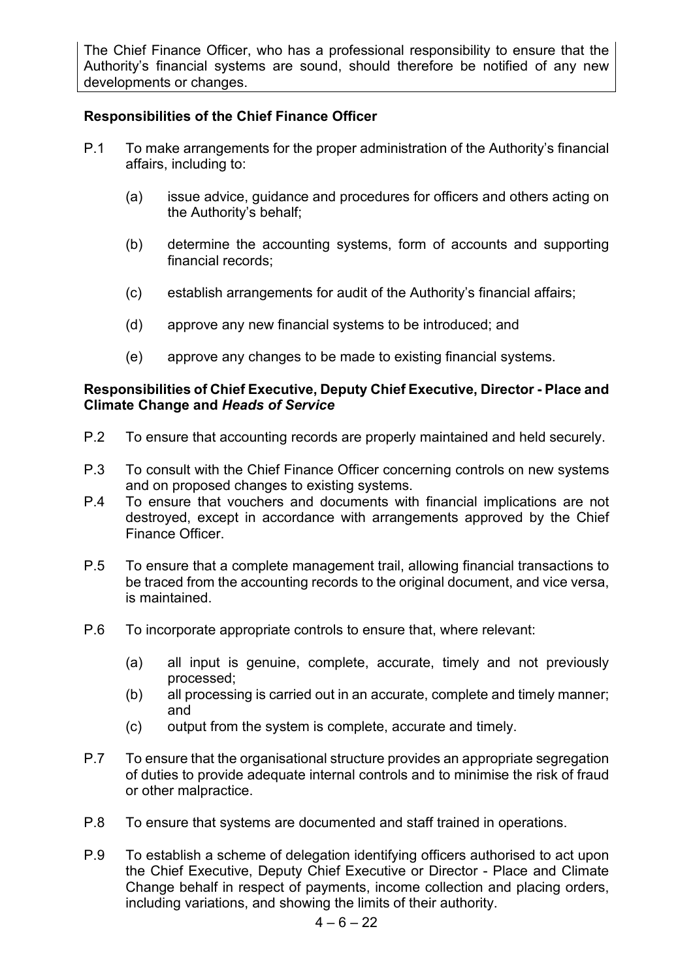The Chief Finance Officer, who has a professional responsibility to ensure that the Authority's financial systems are sound, should therefore be notified of any new developments or changes.

#### **Responsibilities of the Chief Finance Officer**

- P.1 To make arrangements for the proper administration of the Authority's financial affairs, including to:
	- (a) issue advice, guidance and procedures for officers and others acting on the Authority's behalf;
	- (b) determine the accounting systems, form of accounts and supporting financial records;
	- (c) establish arrangements for audit of the Authority's financial affairs;
	- (d) approve any new financial systems to be introduced; and
	- (e) approve any changes to be made to existing financial systems.

- P.2 To ensure that accounting records are properly maintained and held securely.
- P.3 To consult with the Chief Finance Officer concerning controls on new systems and on proposed changes to existing systems.
- P.4 To ensure that vouchers and documents with financial implications are not destroyed, except in accordance with arrangements approved by the Chief Finance Officer.
- P.5 To ensure that a complete management trail, allowing financial transactions to be traced from the accounting records to the original document, and vice versa, is maintained.
- P.6 To incorporate appropriate controls to ensure that, where relevant:
	- (a) all input is genuine, complete, accurate, timely and not previously processed;
	- (b) all processing is carried out in an accurate, complete and timely manner; and
	- (c) output from the system is complete, accurate and timely.
- P.7 To ensure that the organisational structure provides an appropriate segregation of duties to provide adequate internal controls and to minimise the risk of fraud or other malpractice.
- P.8 To ensure that systems are documented and staff trained in operations.
- P.9 To establish a scheme of delegation identifying officers authorised to act upon the Chief Executive, Deputy Chief Executive or Director - Place and Climate Change behalf in respect of payments, income collection and placing orders, including variations, and showing the limits of their authority.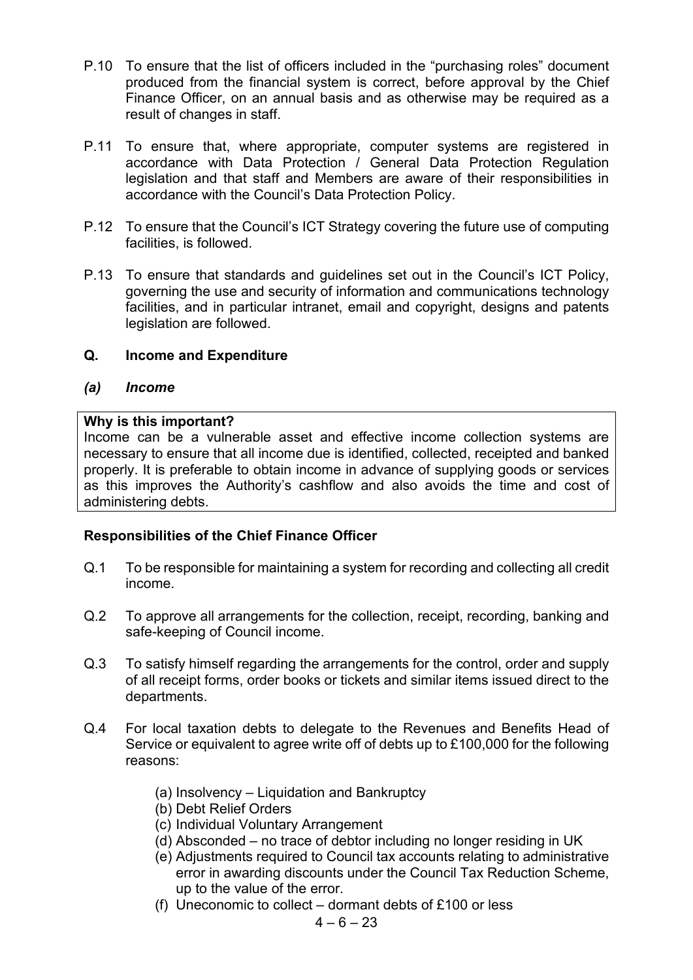- P.10 To ensure that the list of officers included in the "purchasing roles" document produced from the financial system is correct, before approval by the Chief Finance Officer, on an annual basis and as otherwise may be required as a result of changes in staff.
- P.11 To ensure that, where appropriate, computer systems are registered in accordance with Data Protection / General Data Protection Regulation legislation and that staff and Members are aware of their responsibilities in accordance with the Council's Data Protection Policy.
- P.12 To ensure that the Council's ICT Strategy covering the future use of computing facilities, is followed.
- P.13 To ensure that standards and guidelines set out in the Council's ICT Policy, governing the use and security of information and communications technology facilities, and in particular intranet, email and copyright, designs and patents legislation are followed.

#### **Q. Income and Expenditure**

#### *(a) Income*

#### **Why is this important?**

Income can be a vulnerable asset and effective income collection systems are necessary to ensure that all income due is identified, collected, receipted and banked properly. It is preferable to obtain income in advance of supplying goods or services as this improves the Authority's cashflow and also avoids the time and cost of administering debts.

#### **Responsibilities of the Chief Finance Officer**

- Q.1 To be responsible for maintaining a system for recording and collecting all credit income.
- Q.2 To approve all arrangements for the collection, receipt, recording, banking and safe-keeping of Council income.
- Q.3 To satisfy himself regarding the arrangements for the control, order and supply of all receipt forms, order books or tickets and similar items issued direct to the departments.
- Q.4 For local taxation debts to delegate to the Revenues and Benefits Head of Service or equivalent to agree write off of debts up to £100,000 for the following reasons:
	- (a) Insolvency Liquidation and Bankruptcy
	- (b) Debt Relief Orders
	- (c) Individual Voluntary Arrangement
	- (d) Absconded no trace of debtor including no longer residing in UK
	- (e) Adjustments required to Council tax accounts relating to administrative error in awarding discounts under the Council Tax Reduction Scheme, up to the value of the error.
	- (f) Uneconomic to collect dormant debts of  $£100$  or less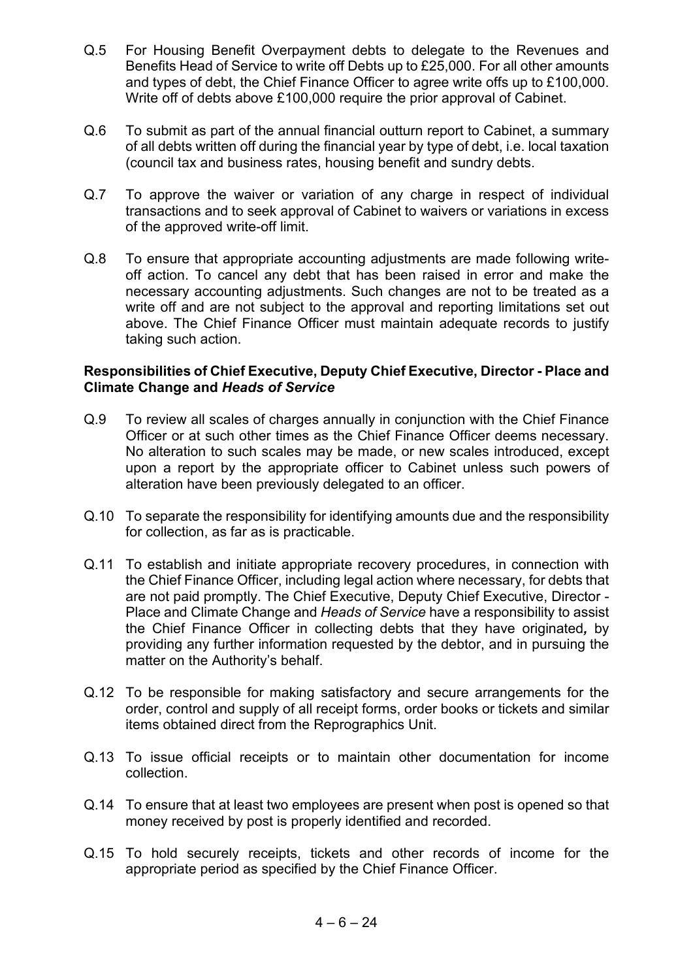- Q.5 For Housing Benefit Overpayment debts to delegate to the Revenues and Benefits Head of Service to write off Debts up to £25,000. For all other amounts and types of debt, the Chief Finance Officer to agree write offs up to £100,000. Write off of debts above £100,000 require the prior approval of Cabinet.
- Q.6 To submit as part of the annual financial outturn report to Cabinet, a summary of all debts written off during the financial year by type of debt, i.e. local taxation (council tax and business rates, housing benefit and sundry debts.
- Q.7 To approve the waiver or variation of any charge in respect of individual transactions and to seek approval of Cabinet to waivers or variations in excess of the approved write-off limit.
- Q.8 To ensure that appropriate accounting adjustments are made following writeoff action. To cancel any debt that has been raised in error and make the necessary accounting adjustments. Such changes are not to be treated as a write off and are not subject to the approval and reporting limitations set out above. The Chief Finance Officer must maintain adequate records to justify taking such action.

- Q.9 To review all scales of charges annually in conjunction with the Chief Finance Officer or at such other times as the Chief Finance Officer deems necessary. No alteration to such scales may be made, or new scales introduced, except upon a report by the appropriate officer to Cabinet unless such powers of alteration have been previously delegated to an officer.
- Q.10 To separate the responsibility for identifying amounts due and the responsibility for collection, as far as is practicable.
- Q.11 To establish and initiate appropriate recovery procedures, in connection with the Chief Finance Officer, including legal action where necessary, for debts that are not paid promptly. The Chief Executive, Deputy Chief Executive, Director - Place and Climate Change and *Heads of Service* have a responsibility to assist the Chief Finance Officer in collecting debts that they have originated*,* by providing any further information requested by the debtor, and in pursuing the matter on the Authority's behalf.
- Q.12 To be responsible for making satisfactory and secure arrangements for the order, control and supply of all receipt forms, order books or tickets and similar items obtained direct from the Reprographics Unit.
- Q.13 To issue official receipts or to maintain other documentation for income collection.
- Q.14 To ensure that at least two employees are present when post is opened so that money received by post is properly identified and recorded.
- Q.15 To hold securely receipts, tickets and other records of income for the appropriate period as specified by the Chief Finance Officer.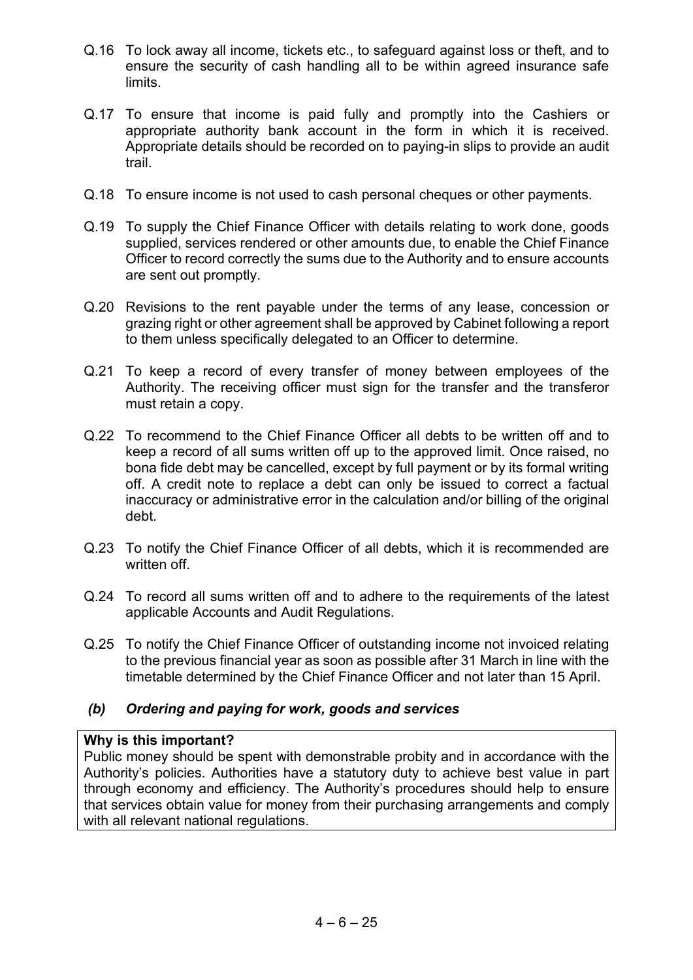- Q.16 To lock away all income, tickets etc., to safeguard against loss or theft, and to ensure the security of cash handling all to be within agreed insurance safe limits.
- Q.17 To ensure that income is paid fully and promptly into the Cashiers or appropriate authority bank account in the form in which it is received. Appropriate details should be recorded on to paying-in slips to provide an audit trail.
- Q.18 To ensure income is not used to cash personal cheques or other payments.
- Q.19 To supply the Chief Finance Officer with details relating to work done, goods supplied, services rendered or other amounts due, to enable the Chief Finance Officer to record correctly the sums due to the Authority and to ensure accounts are sent out promptly.
- Q.20 Revisions to the rent payable under the terms of any lease, concession or grazing right or other agreement shall be approved by Cabinet following a report to them unless specifically delegated to an Officer to determine.
- Q.21 To keep a record of every transfer of money between employees of the Authority. The receiving officer must sign for the transfer and the transferor must retain a copy.
- Q.22 To recommend to the Chief Finance Officer all debts to be written off and to keep a record of all sums written off up to the approved limit. Once raised, no bona fide debt may be cancelled, except by full payment or by its formal writing off. A credit note to replace a debt can only be issued to correct a factual inaccuracy or administrative error in the calculation and/or billing of the original debt.
- Q.23 To notify the Chief Finance Officer of all debts, which it is recommended are written off.
- Q.24 To record all sums written off and to adhere to the requirements of the latest applicable Accounts and Audit Regulations.
- Q.25 To notify the Chief Finance Officer of outstanding income not invoiced relating to the previous financial year as soon as possible after 31 March in line with the timetable determined by the Chief Finance Officer and not later than 15 April.

#### *(b) Ordering and paying for work, goods and services*

#### **Why is this important?**

Public money should be spent with demonstrable probity and in accordance with the Authority's policies. Authorities have a statutory duty to achieve best value in part through economy and efficiency. The Authority's procedures should help to ensure that services obtain value for money from their purchasing arrangements and comply with all relevant national regulations.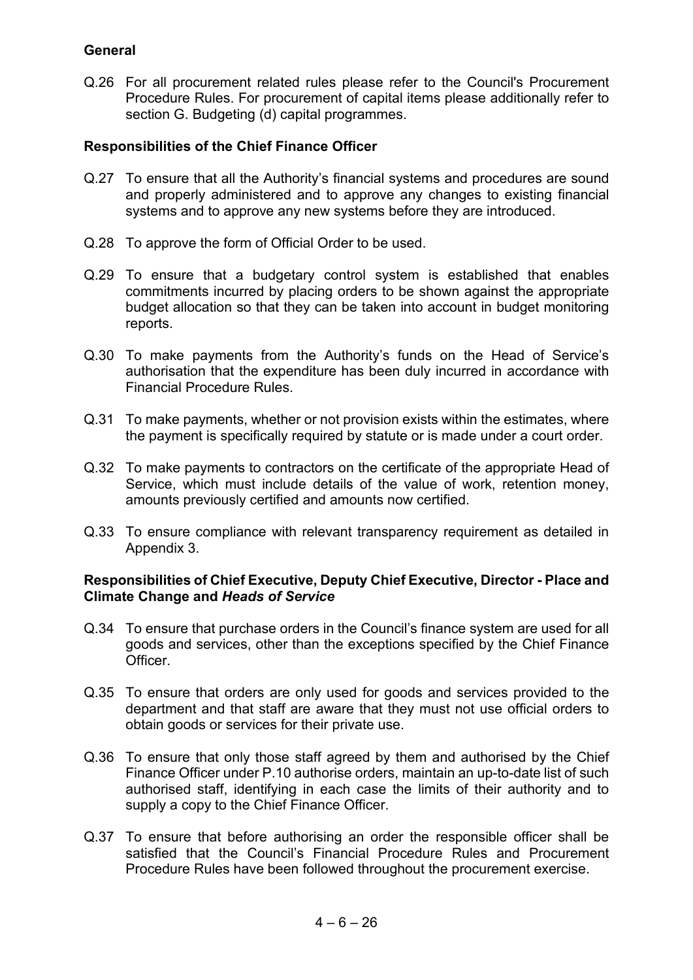#### **General**

Q.26 For all procurement related rules please refer to the Council's Procurement Procedure Rules. For procurement of capital items please additionally refer to section G. Budgeting (d) capital programmes.

#### **Responsibilities of the Chief Finance Officer**

- Q.27 To ensure that all the Authority's financial systems and procedures are sound and properly administered and to approve any changes to existing financial systems and to approve any new systems before they are introduced.
- Q.28 To approve the form of Official Order to be used.
- Q.29 To ensure that a budgetary control system is established that enables commitments incurred by placing orders to be shown against the appropriate budget allocation so that they can be taken into account in budget monitoring reports.
- Q.30 To make payments from the Authority's funds on the Head of Service's authorisation that the expenditure has been duly incurred in accordance with Financial Procedure Rules.
- Q.31 To make payments, whether or not provision exists within the estimates, where the payment is specifically required by statute or is made under a court order.
- Q.32 To make payments to contractors on the certificate of the appropriate Head of Service, which must include details of the value of work, retention money, amounts previously certified and amounts now certified.
- Q.33 To ensure compliance with relevant transparency requirement as detailed in Appendix 3.

- Q.34 To ensure that purchase orders in the Council's finance system are used for all goods and services, other than the exceptions specified by the Chief Finance Officer.
- Q.35 To ensure that orders are only used for goods and services provided to the department and that staff are aware that they must not use official orders to obtain goods or services for their private use.
- Q.36 To ensure that only those staff agreed by them and authorised by the Chief Finance Officer under P.10 authorise orders, maintain an up-to-date list of such authorised staff, identifying in each case the limits of their authority and to supply a copy to the Chief Finance Officer.
- Q.37 To ensure that before authorising an order the responsible officer shall be satisfied that the Council's Financial Procedure Rules and Procurement Procedure Rules have been followed throughout the procurement exercise.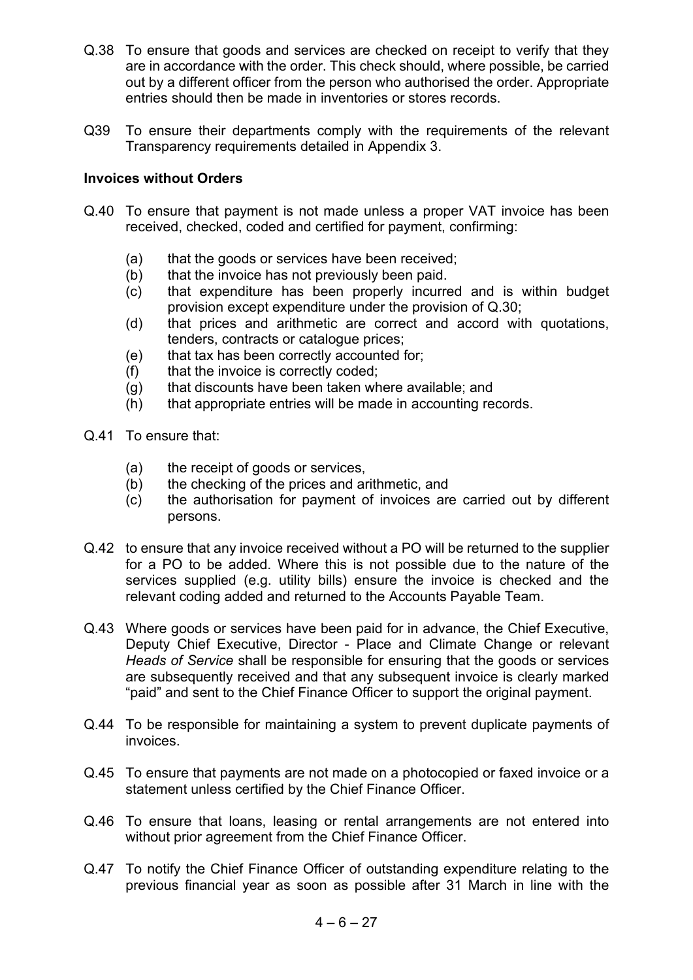- Q.38 To ensure that goods and services are checked on receipt to verify that they are in accordance with the order. This check should, where possible, be carried out by a different officer from the person who authorised the order. Appropriate entries should then be made in inventories or stores records.
- Q39 To ensure their departments comply with the requirements of the relevant Transparency requirements detailed in Appendix 3.

#### **Invoices without Orders**

- Q.40 To ensure that payment is not made unless a proper VAT invoice has been received, checked, coded and certified for payment, confirming:
	- (a) that the goods or services have been received;
	- (b) that the invoice has not previously been paid.
	- (c) that expenditure has been properly incurred and is within budget provision except expenditure under the provision of Q.30;
	- (d) that prices and arithmetic are correct and accord with quotations, tenders, contracts or catalogue prices;
	- (e) that tax has been correctly accounted for;
	- (f) that the invoice is correctly coded;
	- (g) that discounts have been taken where available; and
	- (h) that appropriate entries will be made in accounting records.
- Q.41 To ensure that:
	- (a) the receipt of goods or services,
	- (b) the checking of the prices and arithmetic, and
	- (c) the authorisation for payment of invoices are carried out by different persons.
- Q.42 to ensure that any invoice received without a PO will be returned to the supplier for a PO to be added. Where this is not possible due to the nature of the services supplied (e.g. utility bills) ensure the invoice is checked and the relevant coding added and returned to the Accounts Payable Team.
- Q.43 Where goods or services have been paid for in advance, the Chief Executive, Deputy Chief Executive, Director - Place and Climate Change or relevant *Heads of Service* shall be responsible for ensuring that the goods or services are subsequently received and that any subsequent invoice is clearly marked "paid" and sent to the Chief Finance Officer to support the original payment.
- Q.44 To be responsible for maintaining a system to prevent duplicate payments of invoices.
- Q.45 To ensure that payments are not made on a photocopied or faxed invoice or a statement unless certified by the Chief Finance Officer.
- Q.46 To ensure that loans, leasing or rental arrangements are not entered into without prior agreement from the Chief Finance Officer.
- Q.47 To notify the Chief Finance Officer of outstanding expenditure relating to the previous financial year as soon as possible after 31 March in line with the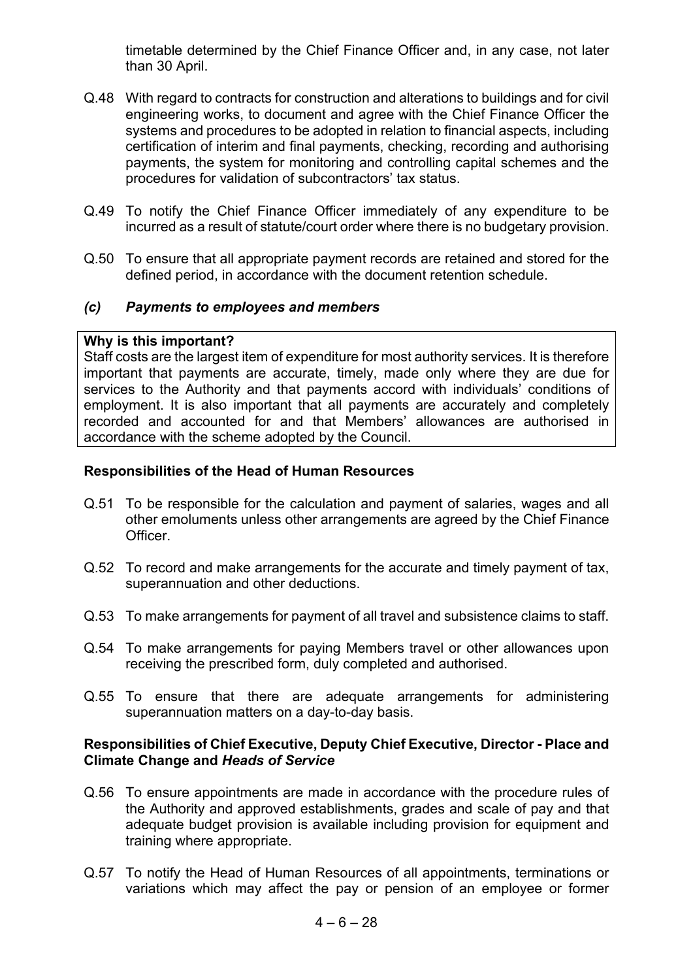timetable determined by the Chief Finance Officer and, in any case, not later than 30 April.

- Q.48 With regard to contracts for construction and alterations to buildings and for civil engineering works, to document and agree with the Chief Finance Officer the systems and procedures to be adopted in relation to financial aspects, including certification of interim and final payments, checking, recording and authorising payments, the system for monitoring and controlling capital schemes and the procedures for validation of subcontractors' tax status.
- Q.49 To notify the Chief Finance Officer immediately of any expenditure to be incurred as a result of statute/court order where there is no budgetary provision.
- Q.50 To ensure that all appropriate payment records are retained and stored for the defined period, in accordance with the document retention schedule.

#### *(c) Payments to employees and members*

#### **Why is this important?**

Staff costs are the largest item of expenditure for most authority services. It is therefore important that payments are accurate, timely, made only where they are due for services to the Authority and that payments accord with individuals' conditions of employment. It is also important that all payments are accurately and completely recorded and accounted for and that Members' allowances are authorised in accordance with the scheme adopted by the Council.

#### **Responsibilities of the Head of Human Resources**

- Q.51 To be responsible for the calculation and payment of salaries, wages and all other emoluments unless other arrangements are agreed by the Chief Finance Officer.
- Q.52 To record and make arrangements for the accurate and timely payment of tax, superannuation and other deductions.
- Q.53 To make arrangements for payment of all travel and subsistence claims to staff.
- Q.54 To make arrangements for paying Members travel or other allowances upon receiving the prescribed form, duly completed and authorised.
- Q.55 To ensure that there are adequate arrangements for administering superannuation matters on a day-to-day basis.

- Q.56 To ensure appointments are made in accordance with the procedure rules of the Authority and approved establishments, grades and scale of pay and that adequate budget provision is available including provision for equipment and training where appropriate.
- Q.57 To notify the Head of Human Resources of all appointments, terminations or variations which may affect the pay or pension of an employee or former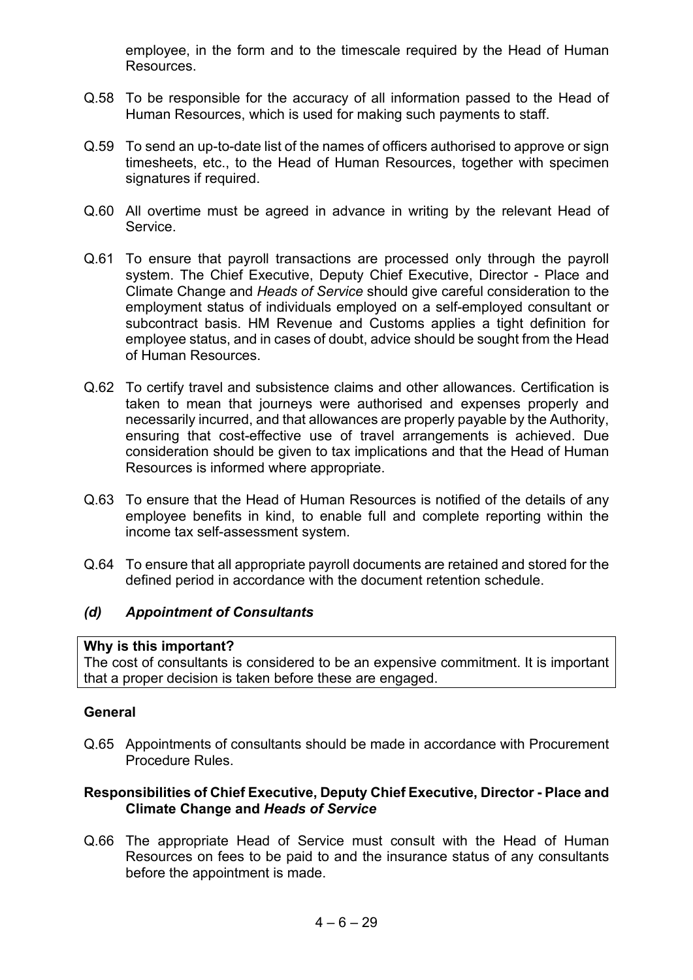employee, in the form and to the timescale required by the Head of Human Resources.

- Q.58 To be responsible for the accuracy of all information passed to the Head of Human Resources, which is used for making such payments to staff.
- Q.59 To send an up-to-date list of the names of officers authorised to approve or sign timesheets, etc., to the Head of Human Resources, together with specimen signatures if required.
- Q.60 All overtime must be agreed in advance in writing by the relevant Head of Service.
- Q.61 To ensure that payroll transactions are processed only through the payroll system. The Chief Executive, Deputy Chief Executive, Director - Place and Climate Change and *Heads of Service* should give careful consideration to the employment status of individuals employed on a self-employed consultant or subcontract basis. HM Revenue and Customs applies a tight definition for employee status, and in cases of doubt, advice should be sought from the Head of Human Resources.
- Q.62 To certify travel and subsistence claims and other allowances. Certification is taken to mean that journeys were authorised and expenses properly and necessarily incurred, and that allowances are properly payable by the Authority, ensuring that cost-effective use of travel arrangements is achieved. Due consideration should be given to tax implications and that the Head of Human Resources is informed where appropriate.
- Q.63 To ensure that the Head of Human Resources is notified of the details of any employee benefits in kind, to enable full and complete reporting within the income tax self-assessment system.
- Q.64 To ensure that all appropriate payroll documents are retained and stored for the defined period in accordance with the document retention schedule.

#### *(d) Appointment of Consultants*

#### **Why is this important?**

The cost of consultants is considered to be an expensive commitment. It is important that a proper decision is taken before these are engaged.

#### **General**

Q.65 Appointments of consultants should be made in accordance with Procurement Procedure Rules.

#### **Responsibilities of Chief Executive, Deputy Chief Executive, Director - Place and Climate Change and** *Heads of Service*

Q.66 The appropriate Head of Service must consult with the Head of Human Resources on fees to be paid to and the insurance status of any consultants before the appointment is made.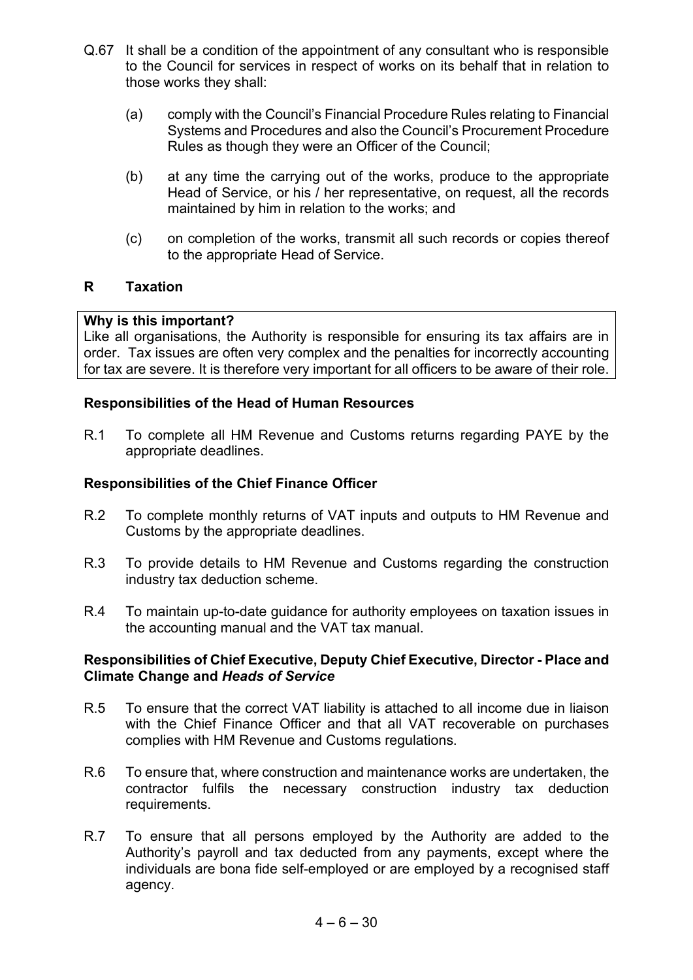- Q.67 It shall be a condition of the appointment of any consultant who is responsible to the Council for services in respect of works on its behalf that in relation to those works they shall:
	- (a) comply with the Council's Financial Procedure Rules relating to Financial Systems and Procedures and also the Council's Procurement Procedure Rules as though they were an Officer of the Council;
	- (b) at any time the carrying out of the works, produce to the appropriate Head of Service, or his / her representative, on request, all the records maintained by him in relation to the works; and
	- (c) on completion of the works, transmit all such records or copies thereof to the appropriate Head of Service.

#### **R Taxation**

#### **Why is this important?**

Like all organisations, the Authority is responsible for ensuring its tax affairs are in order. Tax issues are often very complex and the penalties for incorrectly accounting for tax are severe. It is therefore very important for all officers to be aware of their role.

#### **Responsibilities of the Head of Human Resources**

R.1 To complete all HM Revenue and Customs returns regarding PAYE by the appropriate deadlines.

#### **Responsibilities of the Chief Finance Officer**

- R.2 To complete monthly returns of VAT inputs and outputs to HM Revenue and Customs by the appropriate deadlines.
- R.3 To provide details to HM Revenue and Customs regarding the construction industry tax deduction scheme.
- R.4 To maintain up-to-date guidance for authority employees on taxation issues in the accounting manual and the VAT tax manual.

- R.5 To ensure that the correct VAT liability is attached to all income due in liaison with the Chief Finance Officer and that all VAT recoverable on purchases complies with HM Revenue and Customs regulations.
- R.6 To ensure that, where construction and maintenance works are undertaken, the contractor fulfils the necessary construction industry tax deduction requirements.
- R.7 To ensure that all persons employed by the Authority are added to the Authority's payroll and tax deducted from any payments, except where the individuals are bona fide self-employed or are employed by a recognised staff agency.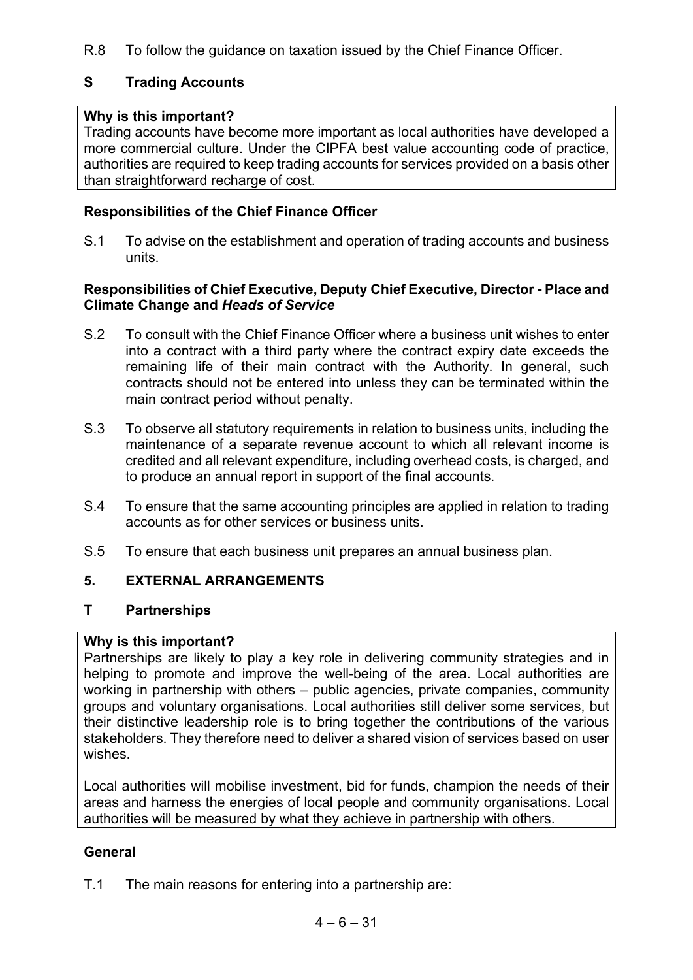R.8 To follow the guidance on taxation issued by the Chief Finance Officer.

## **S Trading Accounts**

## **Why is this important?**

Trading accounts have become more important as local authorities have developed a more commercial culture. Under the CIPFA best value accounting code of practice, authorities are required to keep trading accounts for services provided on a basis other than straightforward recharge of cost.

## **Responsibilities of the Chief Finance Officer**

S.1 To advise on the establishment and operation of trading accounts and business units.

#### **Responsibilities of Chief Executive, Deputy Chief Executive, Director - Place and Climate Change and** *Heads of Service*

- S.2 To consult with the Chief Finance Officer where a business unit wishes to enter into a contract with a third party where the contract expiry date exceeds the remaining life of their main contract with the Authority. In general, such contracts should not be entered into unless they can be terminated within the main contract period without penalty.
- S.3 To observe all statutory requirements in relation to business units, including the maintenance of a separate revenue account to which all relevant income is credited and all relevant expenditure, including overhead costs, is charged, and to produce an annual report in support of the final accounts.
- S.4 To ensure that the same accounting principles are applied in relation to trading accounts as for other services or business units.
- S.5 To ensure that each business unit prepares an annual business plan.

## **5. EXTERNAL ARRANGEMENTS**

## **T Partnerships**

#### **Why is this important?**

Partnerships are likely to play a key role in delivering community strategies and in helping to promote and improve the well-being of the area. Local authorities are working in partnership with others – public agencies, private companies, community groups and voluntary organisations. Local authorities still deliver some services, but their distinctive leadership role is to bring together the contributions of the various stakeholders. They therefore need to deliver a shared vision of services based on user wishes.

Local authorities will mobilise investment, bid for funds, champion the needs of their areas and harness the energies of local people and community organisations. Local authorities will be measured by what they achieve in partnership with others.

## **General**

T.1 The main reasons for entering into a partnership are: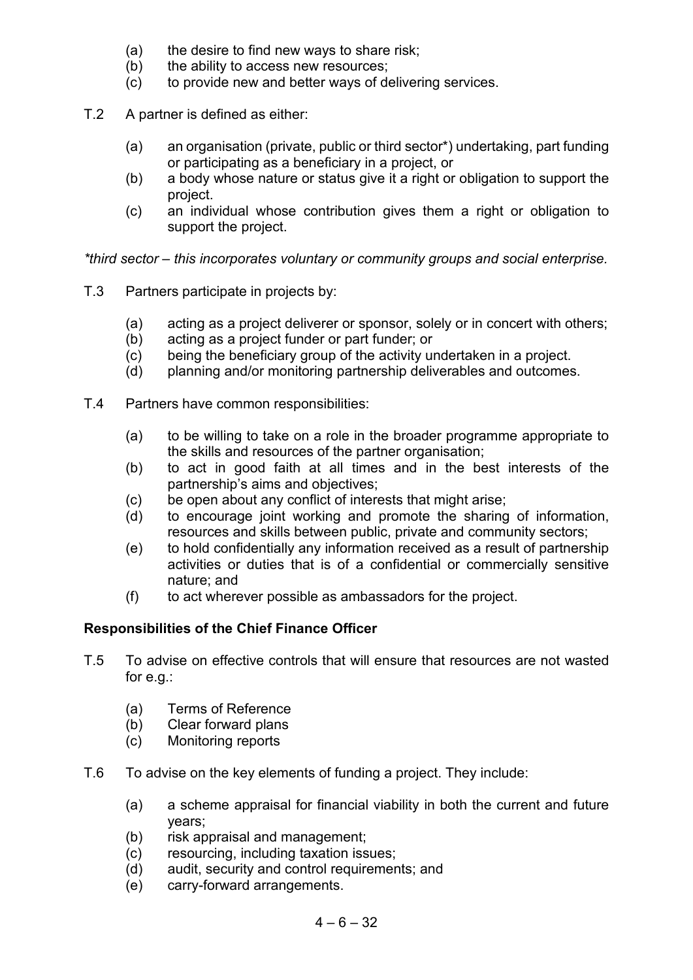- (a) the desire to find new ways to share risk;
- (b) the ability to access new resources;
- (c) to provide new and better ways of delivering services.
- T.2 A partner is defined as either:
	- (a) an organisation (private, public or third sector\*) undertaking, part funding or participating as a beneficiary in a project, or
	- (b) a body whose nature or status give it a right or obligation to support the project.
	- (c) an individual whose contribution gives them a right or obligation to support the project.

*\*third sector – this incorporates voluntary or community groups and social enterprise.*

- T.3 Partners participate in projects by:
	- (a) acting as a project deliverer or sponsor, solely or in concert with others;
	- (b) acting as a project funder or part funder; or
	- (c) being the beneficiary group of the activity undertaken in a project.
	- (d) planning and/or monitoring partnership deliverables and outcomes.
- T.4 Partners have common responsibilities:
	- (a) to be willing to take on a role in the broader programme appropriate to the skills and resources of the partner organisation;
	- (b) to act in good faith at all times and in the best interests of the partnership's aims and objectives;
	- (c) be open about any conflict of interests that might arise;
	- (d) to encourage joint working and promote the sharing of information, resources and skills between public, private and community sectors;
	- (e) to hold confidentially any information received as a result of partnership activities or duties that is of a confidential or commercially sensitive nature; and
	- (f) to act wherever possible as ambassadors for the project.

#### **Responsibilities of the Chief Finance Officer**

- T.5 To advise on effective controls that will ensure that resources are not wasted for e.g.:
	- (a) Terms of Reference
	- (b) Clear forward plans
	- (c) Monitoring reports
- T.6 To advise on the key elements of funding a project. They include:
	- (a) a scheme appraisal for financial viability in both the current and future years;
	- (b) risk appraisal and management;
	- (c) resourcing, including taxation issues;
	- (d) audit, security and control requirements; and
	- (e) carry-forward arrangements.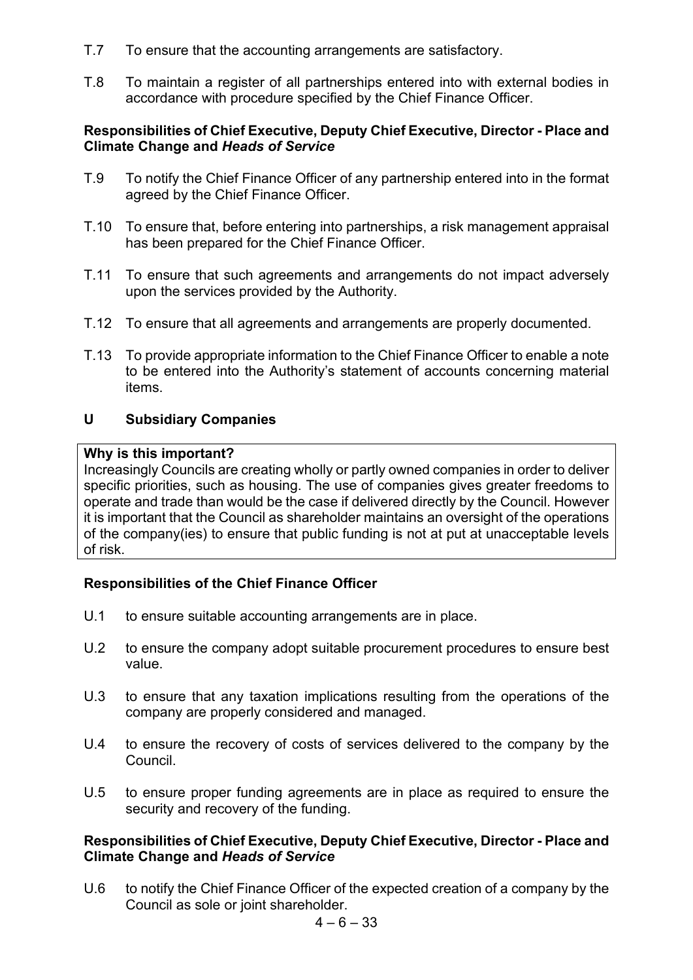- T.7 To ensure that the accounting arrangements are satisfactory.
- T.8 To maintain a register of all partnerships entered into with external bodies in accordance with procedure specified by the Chief Finance Officer.

#### **Responsibilities of Chief Executive, Deputy Chief Executive, Director - Place and Climate Change and** *Heads of Service*

- T.9 To notify the Chief Finance Officer of any partnership entered into in the format agreed by the Chief Finance Officer.
- T.10 To ensure that, before entering into partnerships, a risk management appraisal has been prepared for the Chief Finance Officer.
- T.11 To ensure that such agreements and arrangements do not impact adversely upon the services provided by the Authority.
- T.12 To ensure that all agreements and arrangements are properly documented.
- T.13 To provide appropriate information to the Chief Finance Officer to enable a note to be entered into the Authority's statement of accounts concerning material items.

#### **U Subsidiary Companies**

#### **Why is this important?**

Increasingly Councils are creating wholly or partly owned companies in order to deliver specific priorities, such as housing. The use of companies gives greater freedoms to operate and trade than would be the case if delivered directly by the Council. However it is important that the Council as shareholder maintains an oversight of the operations of the company(ies) to ensure that public funding is not at put at unacceptable levels of risk.

#### **Responsibilities of the Chief Finance Officer**

- U.1 to ensure suitable accounting arrangements are in place.
- U.2 to ensure the company adopt suitable procurement procedures to ensure best value.
- U.3 to ensure that any taxation implications resulting from the operations of the company are properly considered and managed.
- U.4 to ensure the recovery of costs of services delivered to the company by the Council.
- U.5 to ensure proper funding agreements are in place as required to ensure the security and recovery of the funding.

#### **Responsibilities of Chief Executive, Deputy Chief Executive, Director - Place and Climate Change and** *Heads of Service*

U.6 to notify the Chief Finance Officer of the expected creation of a company by the Council as sole or joint shareholder.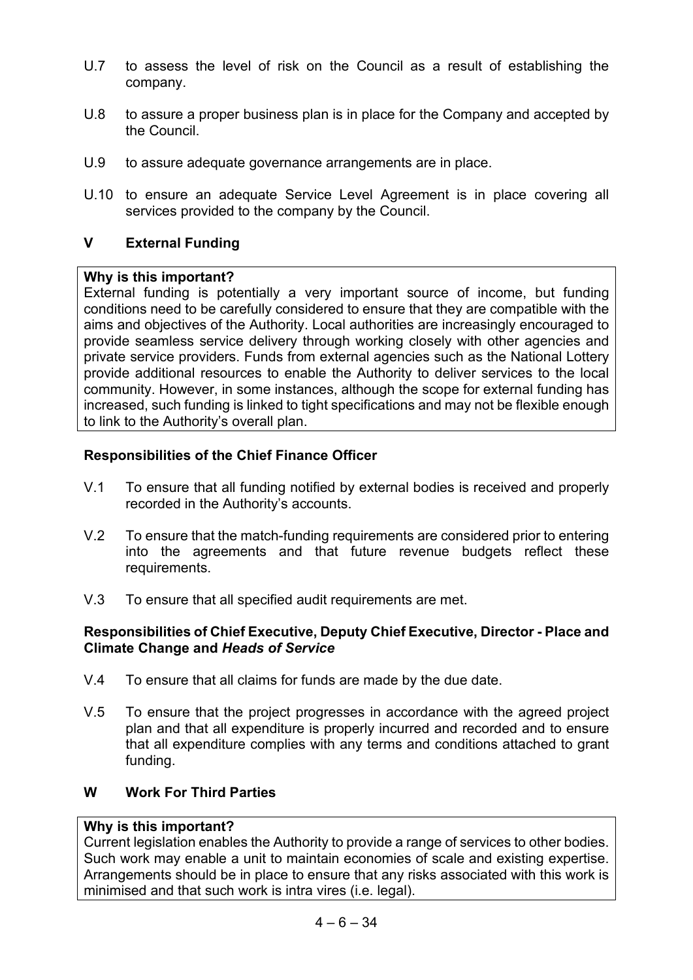- U.7 to assess the level of risk on the Council as a result of establishing the company.
- U.8 to assure a proper business plan is in place for the Company and accepted by the Council.
- U.9 to assure adequate governance arrangements are in place.
- U.10 to ensure an adequate Service Level Agreement is in place covering all services provided to the company by the Council.

#### **V External Funding**

#### **Why is this important?**

External funding is potentially a very important source of income, but funding conditions need to be carefully considered to ensure that they are compatible with the aims and objectives of the Authority. Local authorities are increasingly encouraged to provide seamless service delivery through working closely with other agencies and private service providers. Funds from external agencies such as the National Lottery provide additional resources to enable the Authority to deliver services to the local community. However, in some instances, although the scope for external funding has increased, such funding is linked to tight specifications and may not be flexible enough to link to the Authority's overall plan.

#### **Responsibilities of the Chief Finance Officer**

- V.1 To ensure that all funding notified by external bodies is received and properly recorded in the Authority's accounts.
- V.2 To ensure that the match-funding requirements are considered prior to entering into the agreements and that future revenue budgets reflect these requirements.
- V.3 To ensure that all specified audit requirements are met.

#### **Responsibilities of Chief Executive, Deputy Chief Executive, Director - Place and Climate Change and** *Heads of Service*

- V.4 To ensure that all claims for funds are made by the due date.
- V.5 To ensure that the project progresses in accordance with the agreed project plan and that all expenditure is properly incurred and recorded and to ensure that all expenditure complies with any terms and conditions attached to grant funding.

#### **W Work For Third Parties**

#### **Why is this important?**

Current legislation enables the Authority to provide a range of services to other bodies. Such work may enable a unit to maintain economies of scale and existing expertise. Arrangements should be in place to ensure that any risks associated with this work is minimised and that such work is intra vires (i.e. legal).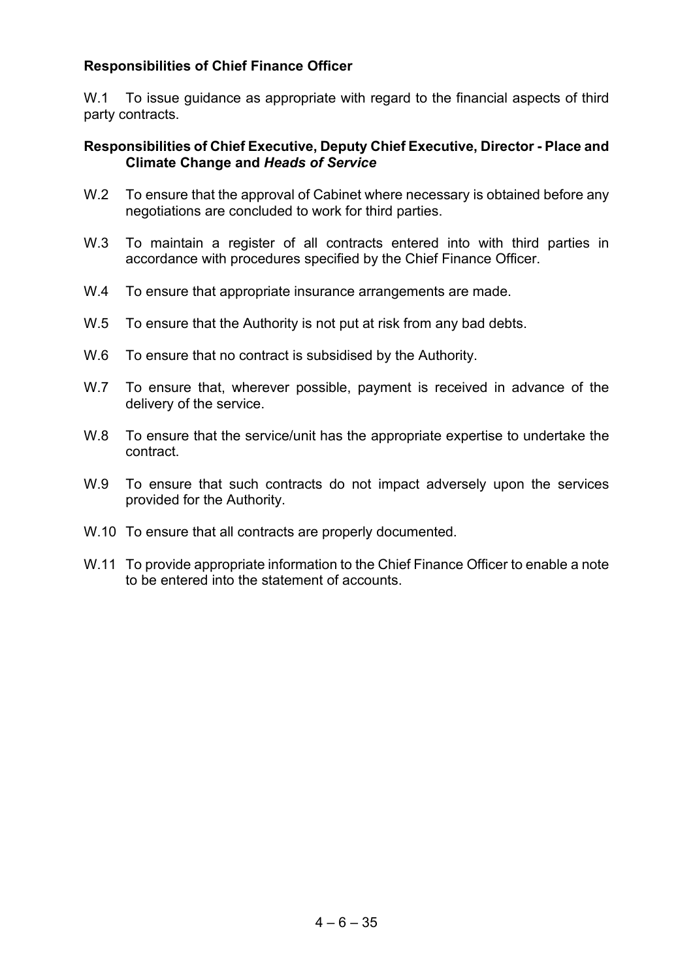#### **Responsibilities of Chief Finance Officer**

W.1 To issue guidance as appropriate with regard to the financial aspects of third party contracts.

- W.2 To ensure that the approval of Cabinet where necessary is obtained before any negotiations are concluded to work for third parties.
- W.3 To maintain a register of all contracts entered into with third parties in accordance with procedures specified by the Chief Finance Officer.
- W.4 To ensure that appropriate insurance arrangements are made.
- W.5 To ensure that the Authority is not put at risk from any bad debts.
- W.6 To ensure that no contract is subsidised by the Authority.
- W.7 To ensure that, wherever possible, payment is received in advance of the delivery of the service.
- W.8 To ensure that the service/unit has the appropriate expertise to undertake the contract.
- W.9 To ensure that such contracts do not impact adversely upon the services provided for the Authority.
- W.10 To ensure that all contracts are properly documented.
- W.11 To provide appropriate information to the Chief Finance Officer to enable a note to be entered into the statement of accounts.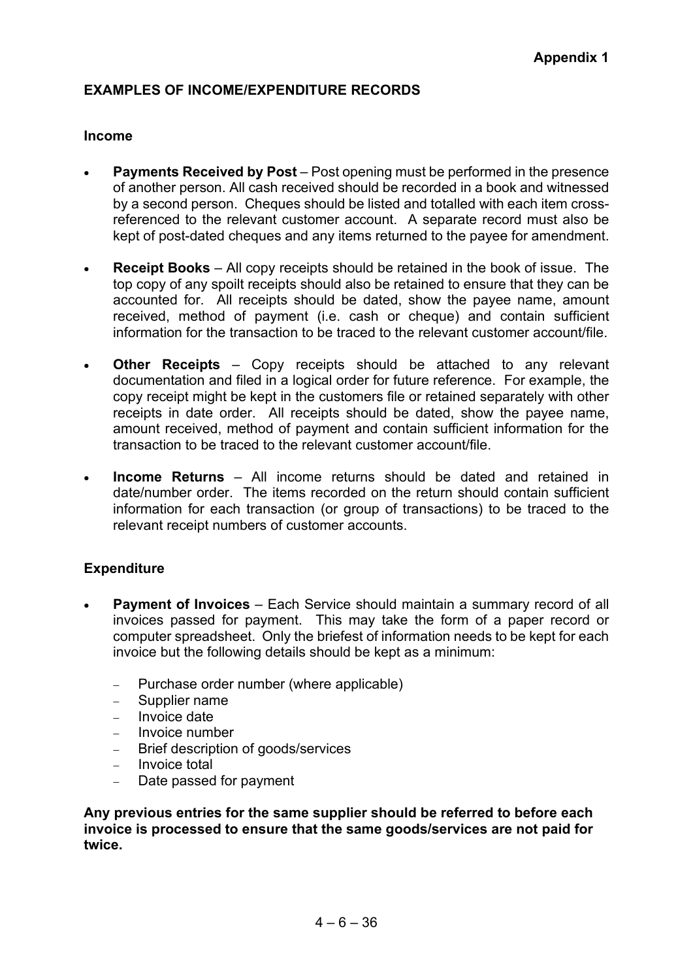#### **EXAMPLES OF INCOME/EXPENDITURE RECORDS**

#### **Income**

- **Payments Received by Post** Post opening must be performed in the presence of another person. All cash received should be recorded in a book and witnessed by a second person. Cheques should be listed and totalled with each item crossreferenced to the relevant customer account. A separate record must also be kept of post-dated cheques and any items returned to the payee for amendment.
- **Receipt Books** All copy receipts should be retained in the book of issue. The top copy of any spoilt receipts should also be retained to ensure that they can be accounted for. All receipts should be dated, show the payee name, amount received, method of payment (i.e. cash or cheque) and contain sufficient information for the transaction to be traced to the relevant customer account/file.
- **Other Receipts** Copy receipts should be attached to any relevant documentation and filed in a logical order for future reference. For example, the copy receipt might be kept in the customers file or retained separately with other receipts in date order. All receipts should be dated, show the payee name, amount received, method of payment and contain sufficient information for the transaction to be traced to the relevant customer account/file.
- **Income Returns** All income returns should be dated and retained in date/number order. The items recorded on the return should contain sufficient information for each transaction (or group of transactions) to be traced to the relevant receipt numbers of customer accounts.

#### **Expenditure**

- **Payment of Invoices** Each Service should maintain a summary record of all invoices passed for payment. This may take the form of a paper record or computer spreadsheet. Only the briefest of information needs to be kept for each invoice but the following details should be kept as a minimum:
	- − Purchase order number (where applicable)
	- − Supplier name
	- − Invoice date
	- − Invoice number
	- − Brief description of goods/services
	- − Invoice total
	- − Date passed for payment

**Any previous entries for the same supplier should be referred to before each invoice is processed to ensure that the same goods/services are not paid for twice.**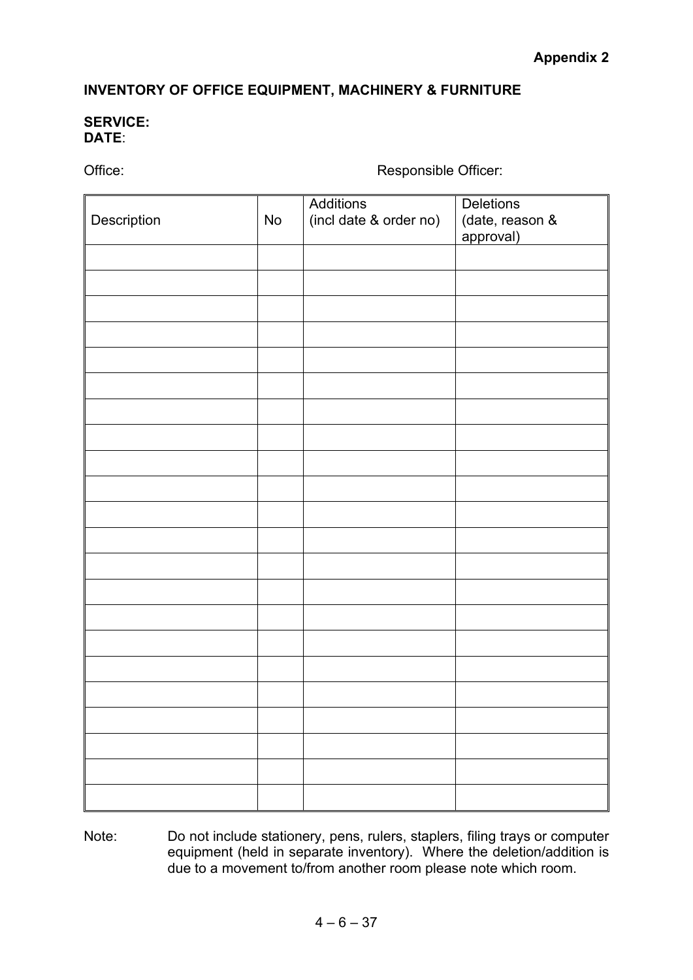## **INVENTORY OF OFFICE EQUIPMENT, MACHINERY & FURNITURE**

#### **SERVICE: DATE**:

Office: Contract of the Contract of the Responsible Officer:

| Description | No | Additions<br>(incl date & order no) | Deletions<br>(date, reason &<br>approval) |
|-------------|----|-------------------------------------|-------------------------------------------|
|             |    |                                     |                                           |
|             |    |                                     |                                           |
|             |    |                                     |                                           |
|             |    |                                     |                                           |
|             |    |                                     |                                           |
|             |    |                                     |                                           |
|             |    |                                     |                                           |
|             |    |                                     |                                           |
|             |    |                                     |                                           |
|             |    |                                     |                                           |
|             |    |                                     |                                           |
|             |    |                                     |                                           |
|             |    |                                     |                                           |
|             |    |                                     |                                           |
|             |    |                                     |                                           |
|             |    |                                     |                                           |
|             |    |                                     |                                           |
|             |    |                                     |                                           |
|             |    |                                     |                                           |
|             |    |                                     |                                           |
|             |    |                                     |                                           |
|             |    |                                     |                                           |

Note: Do not include stationery, pens, rulers, staplers, filing trays or computer equipment (held in separate inventory). Where the deletion/addition is due to a movement to/from another room please note which room.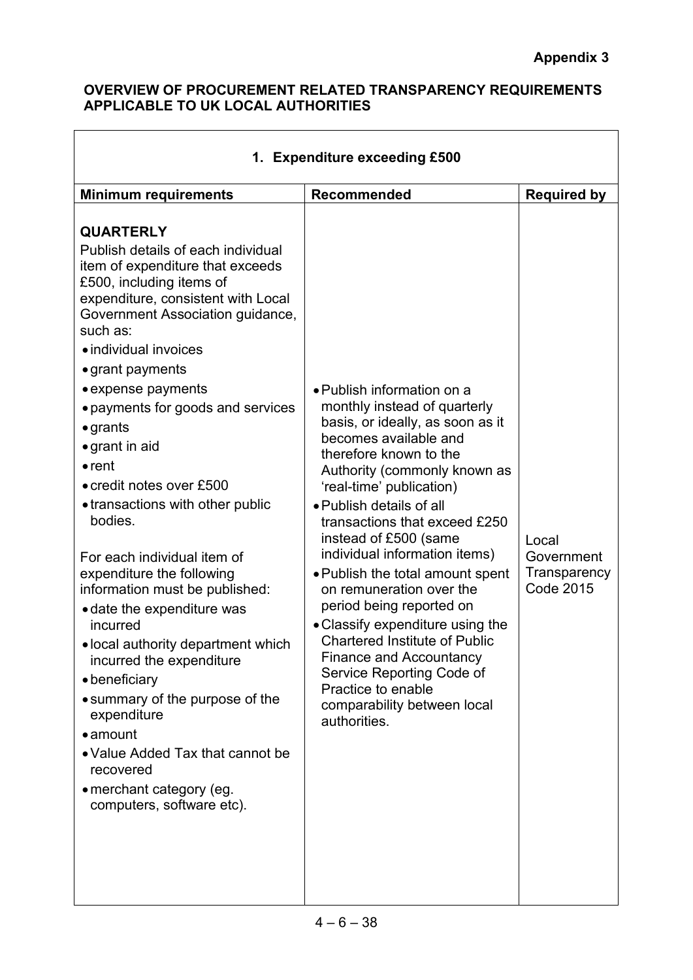$\overline{\phantom{a}}$ 

#### **OVERVIEW OF PROCUREMENT RELATED TRANSPARENCY REQUIREMENTS APPLICABLE TO UK LOCAL AUTHORITIES**

 $\Gamma$ 

| 1. Expenditure exceeding £500                                                                                                                                                                                                                                                                                                                                                                                                                                                                                                                                                                                                                                                                                                                                                                                                                                                      |                                                                                                                                                                                                                                                                                                                                                                                                                                                                                                                                                                                                                                                  |                                                         |  |
|------------------------------------------------------------------------------------------------------------------------------------------------------------------------------------------------------------------------------------------------------------------------------------------------------------------------------------------------------------------------------------------------------------------------------------------------------------------------------------------------------------------------------------------------------------------------------------------------------------------------------------------------------------------------------------------------------------------------------------------------------------------------------------------------------------------------------------------------------------------------------------|--------------------------------------------------------------------------------------------------------------------------------------------------------------------------------------------------------------------------------------------------------------------------------------------------------------------------------------------------------------------------------------------------------------------------------------------------------------------------------------------------------------------------------------------------------------------------------------------------------------------------------------------------|---------------------------------------------------------|--|
| <b>Minimum requirements</b>                                                                                                                                                                                                                                                                                                                                                                                                                                                                                                                                                                                                                                                                                                                                                                                                                                                        | <b>Recommended</b>                                                                                                                                                                                                                                                                                                                                                                                                                                                                                                                                                                                                                               | <b>Required by</b>                                      |  |
| <b>QUARTERLY</b><br>Publish details of each individual<br>item of expenditure that exceeds<br>£500, including items of<br>expenditure, consistent with Local<br>Government Association guidance,<br>such as:<br>· individual invoices<br>$\bullet$ grant payments<br>• expense payments<br>• payments for goods and services<br>$\bullet$ grants<br>$\bullet$ grant in aid<br>$\bullet$ rent<br>• credit notes over £500<br>• transactions with other public<br>bodies.<br>For each individual item of<br>expenditure the following<br>information must be published:<br>• date the expenditure was<br>incurred<br>• local authority department which<br>incurred the expenditure<br>• beneficiary<br>• summary of the purpose of the<br>expenditure<br>$\bullet$ amount<br>• Value Added Tax that cannot be<br>recovered<br>• merchant category (eg.<br>computers, software etc). | • Publish information on a<br>monthly instead of quarterly<br>basis, or ideally, as soon as it<br>becomes available and<br>therefore known to the<br>Authority (commonly known as<br>'real-time' publication)<br>• Publish details of all<br>transactions that exceed £250<br>instead of £500 (same<br>individual information items)<br>• Publish the total amount spent<br>on remuneration over the<br>period being reported on<br>• Classify expenditure using the<br><b>Chartered Institute of Public</b><br><b>Finance and Accountancy</b><br>Service Reporting Code of<br>Practice to enable<br>comparability between local<br>authorities. | Local<br>Government<br>Transparency<br><b>Code 2015</b> |  |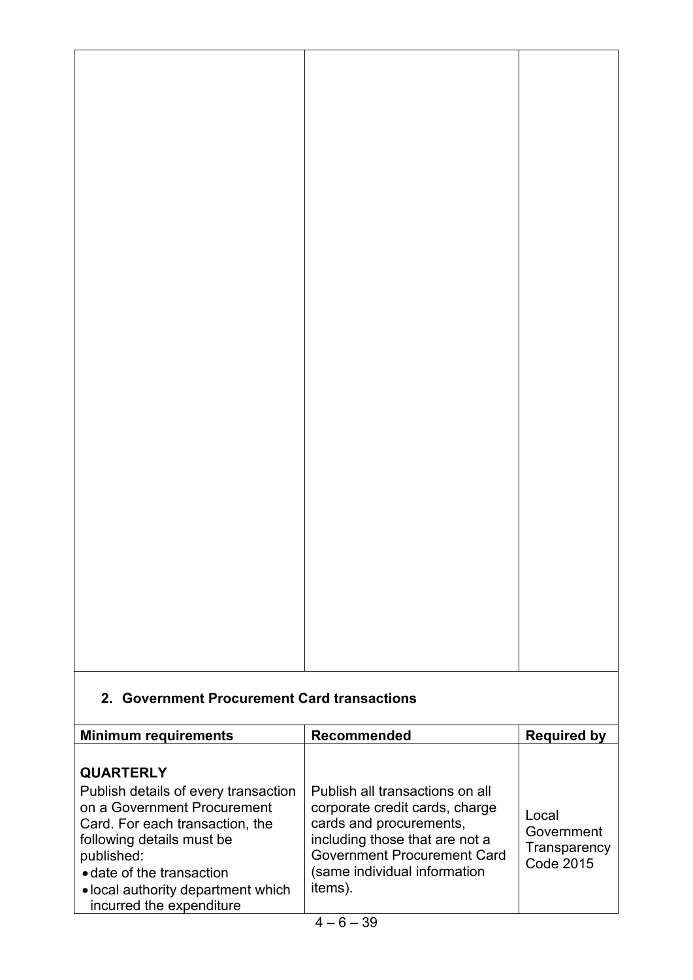## **2. Government Procurement Card transactions**

| <b>Minimum requirements</b>                                                                                                                                                                                                                                          | <b>Recommended</b>                                                                                                                                                                                              | <b>Required by</b>                                      |
|----------------------------------------------------------------------------------------------------------------------------------------------------------------------------------------------------------------------------------------------------------------------|-----------------------------------------------------------------------------------------------------------------------------------------------------------------------------------------------------------------|---------------------------------------------------------|
| <b>QUARTERLY</b><br>Publish details of every transaction<br>on a Government Procurement<br>Card. For each transaction, the<br>following details must be<br>published:<br>• date of the transaction<br>• local authority department which<br>incurred the expenditure | Publish all transactions on all<br>corporate credit cards, charge<br>cards and procurements,<br>including those that are not a<br><b>Government Procurement Card</b><br>(same individual information<br>items). | Local<br>Government<br>Transparency<br><b>Code 2015</b> |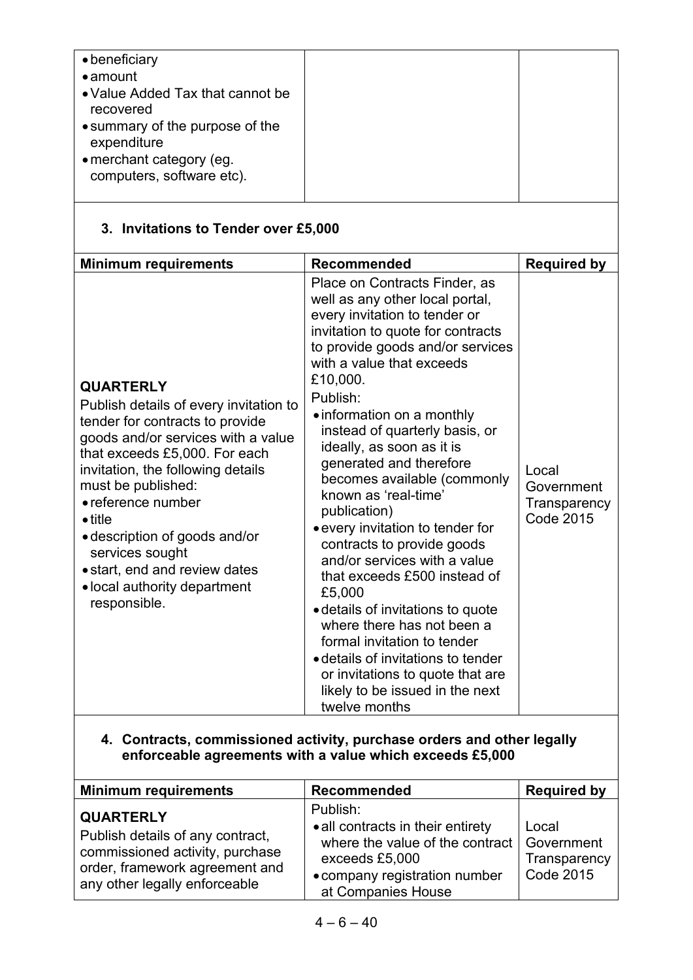## **3. Invitations to Tender over £5,000**

| <b>Minimum requirements</b>                                                                                                                                                                                                                                                                                                                                                                                   | <b>Recommended</b>                                                                                                                                                                                                                                                                                                                                                                                                                                                                                                                                                                                                                                                                                                                                                                                         | <b>Required by</b>                                      |
|---------------------------------------------------------------------------------------------------------------------------------------------------------------------------------------------------------------------------------------------------------------------------------------------------------------------------------------------------------------------------------------------------------------|------------------------------------------------------------------------------------------------------------------------------------------------------------------------------------------------------------------------------------------------------------------------------------------------------------------------------------------------------------------------------------------------------------------------------------------------------------------------------------------------------------------------------------------------------------------------------------------------------------------------------------------------------------------------------------------------------------------------------------------------------------------------------------------------------------|---------------------------------------------------------|
| <b>QUARTERLY</b><br>Publish details of every invitation to<br>tender for contracts to provide<br>goods and/or services with a value<br>that exceeds £5,000. For each<br>invitation, the following details<br>must be published:<br>• reference number<br>$\bullet$ title<br>• description of goods and/or<br>services sought<br>• start, end and review dates<br>• local authority department<br>responsible. | Place on Contracts Finder, as<br>well as any other local portal,<br>every invitation to tender or<br>invitation to quote for contracts<br>to provide goods and/or services<br>with a value that exceeds<br>£10,000.<br>Publish:<br>• information on a monthly<br>instead of quarterly basis, or<br>ideally, as soon as it is<br>generated and therefore<br>becomes available (commonly<br>known as 'real-time'<br>publication)<br>• every invitation to tender for<br>contracts to provide goods<br>and/or services with a value<br>that exceeds £500 instead of<br>£5,000<br>• details of invitations to quote<br>where there has not been a<br>formal invitation to tender<br>• details of invitations to tender<br>or invitations to quote that are<br>likely to be issued in the next<br>twelve months | Local<br>Government<br>Transparency<br><b>Code 2015</b> |

#### **4. Contracts, commissioned activity, purchase orders and other legally enforceable agreements with a value which exceeds £5,000**

| <b>Minimum requirements</b>                                                                                                                                | Recommended                                                                                                                                                            | <b>Required by</b>                 |
|------------------------------------------------------------------------------------------------------------------------------------------------------------|------------------------------------------------------------------------------------------------------------------------------------------------------------------------|------------------------------------|
| <b>QUARTERLY</b><br>Publish details of any contract,<br>commissioned activity, purchase<br>order, framework agreement and<br>any other legally enforceable | Publish:<br>• all contracts in their entirety<br>where the value of the contract   Government<br>exceeds £5,000<br>• company registration number<br>at Companies House | Local<br>Transparency<br>Code 2015 |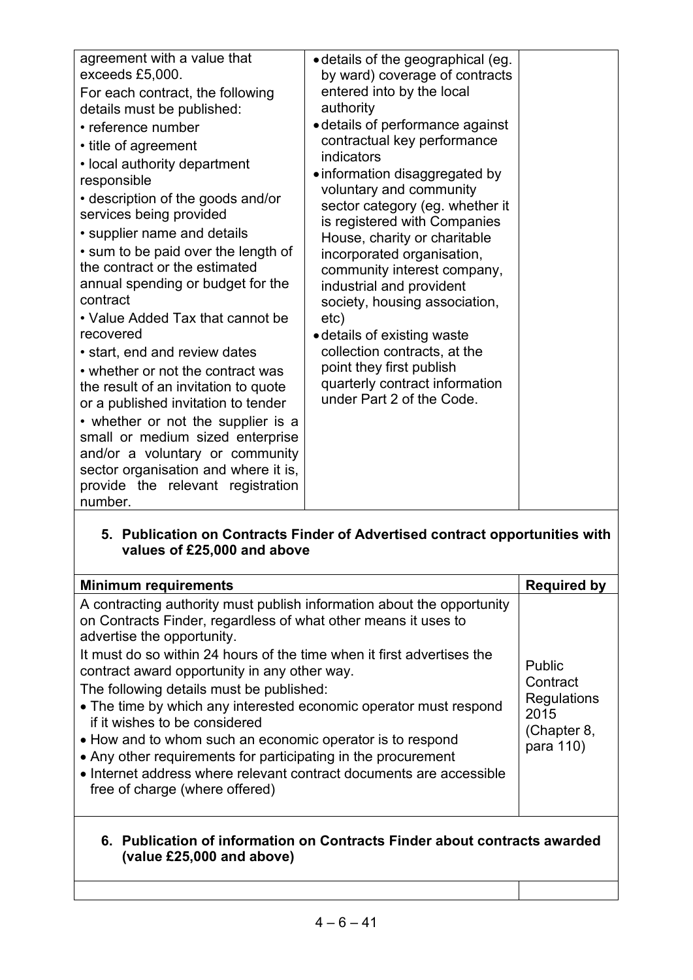| agreement with a value that<br>exceeds £5,000.<br>For each contract, the following<br>details must be published:<br>• reference number<br>• title of agreement<br>• local authority department<br>responsible<br>• description of the goods and/or<br>services being provided<br>• supplier name and details<br>• sum to be paid over the length of<br>the contract or the estimated<br>annual spending or budget for the<br>contract<br>• Value Added Tax that cannot be<br>recovered<br>• start, end and review dates<br>• whether or not the contract was<br>the result of an invitation to quote<br>or a published invitation to tender<br>• whether or not the supplier is a | • details of the geographical (eg.<br>by ward) coverage of contracts<br>entered into by the local<br>authority<br>· details of performance against<br>contractual key performance<br>indicators<br>• information disaggregated by<br>voluntary and community<br>sector category (eg. whether it<br>is registered with Companies<br>House, charity or charitable<br>incorporated organisation,<br>community interest company,<br>industrial and provident<br>society, housing association,<br>etc)<br>• details of existing waste<br>collection contracts, at the<br>point they first publish<br>quarterly contract information<br>under Part 2 of the Code. |  |
|-----------------------------------------------------------------------------------------------------------------------------------------------------------------------------------------------------------------------------------------------------------------------------------------------------------------------------------------------------------------------------------------------------------------------------------------------------------------------------------------------------------------------------------------------------------------------------------------------------------------------------------------------------------------------------------|-------------------------------------------------------------------------------------------------------------------------------------------------------------------------------------------------------------------------------------------------------------------------------------------------------------------------------------------------------------------------------------------------------------------------------------------------------------------------------------------------------------------------------------------------------------------------------------------------------------------------------------------------------------|--|
| small or medium sized enterprise<br>and/or a voluntary or community<br>sector organisation and where it is,<br>provide the relevant registration<br>number.                                                                                                                                                                                                                                                                                                                                                                                                                                                                                                                       |                                                                                                                                                                                                                                                                                                                                                                                                                                                                                                                                                                                                                                                             |  |
|                                                                                                                                                                                                                                                                                                                                                                                                                                                                                                                                                                                                                                                                                   |                                                                                                                                                                                                                                                                                                                                                                                                                                                                                                                                                                                                                                                             |  |

#### **5. Publication on Contracts Finder of Advertised contract opportunities with values of £25,000 and above**

| <b>Minimum requirements</b>                                                                                                                                                                                                                                                                                                                                                                                                                                                                                                                                                                                                                                                               | <b>Required by</b>                                                           |  |
|-------------------------------------------------------------------------------------------------------------------------------------------------------------------------------------------------------------------------------------------------------------------------------------------------------------------------------------------------------------------------------------------------------------------------------------------------------------------------------------------------------------------------------------------------------------------------------------------------------------------------------------------------------------------------------------------|------------------------------------------------------------------------------|--|
| A contracting authority must publish information about the opportunity<br>on Contracts Finder, regardless of what other means it uses to<br>advertise the opportunity.<br>It must do so within 24 hours of the time when it first advertises the<br>contract award opportunity in any other way.<br>The following details must be published:<br>• The time by which any interested economic operator must respond<br>if it wishes to be considered<br>• How and to whom such an economic operator is to respond<br>• Any other requirements for participating in the procurement<br>• Internet address where relevant contract documents are accessible<br>free of charge (where offered) | <b>Public</b><br>Contract<br>Regulations<br>2015<br>(Chapter 8,<br>para 110) |  |
| 6. Publication of information on Contracts Finder about contracts awarded<br>(value £25,000 and above)                                                                                                                                                                                                                                                                                                                                                                                                                                                                                                                                                                                    |                                                                              |  |
|                                                                                                                                                                                                                                                                                                                                                                                                                                                                                                                                                                                                                                                                                           |                                                                              |  |